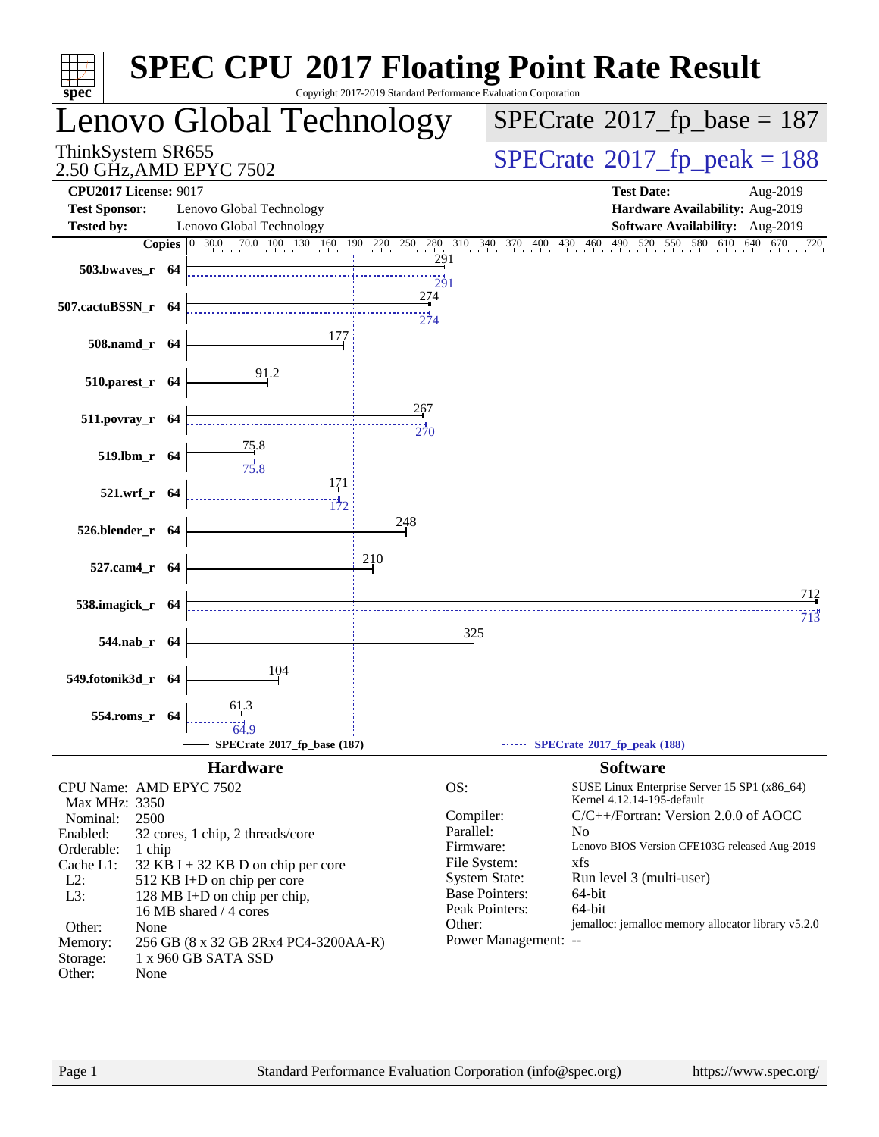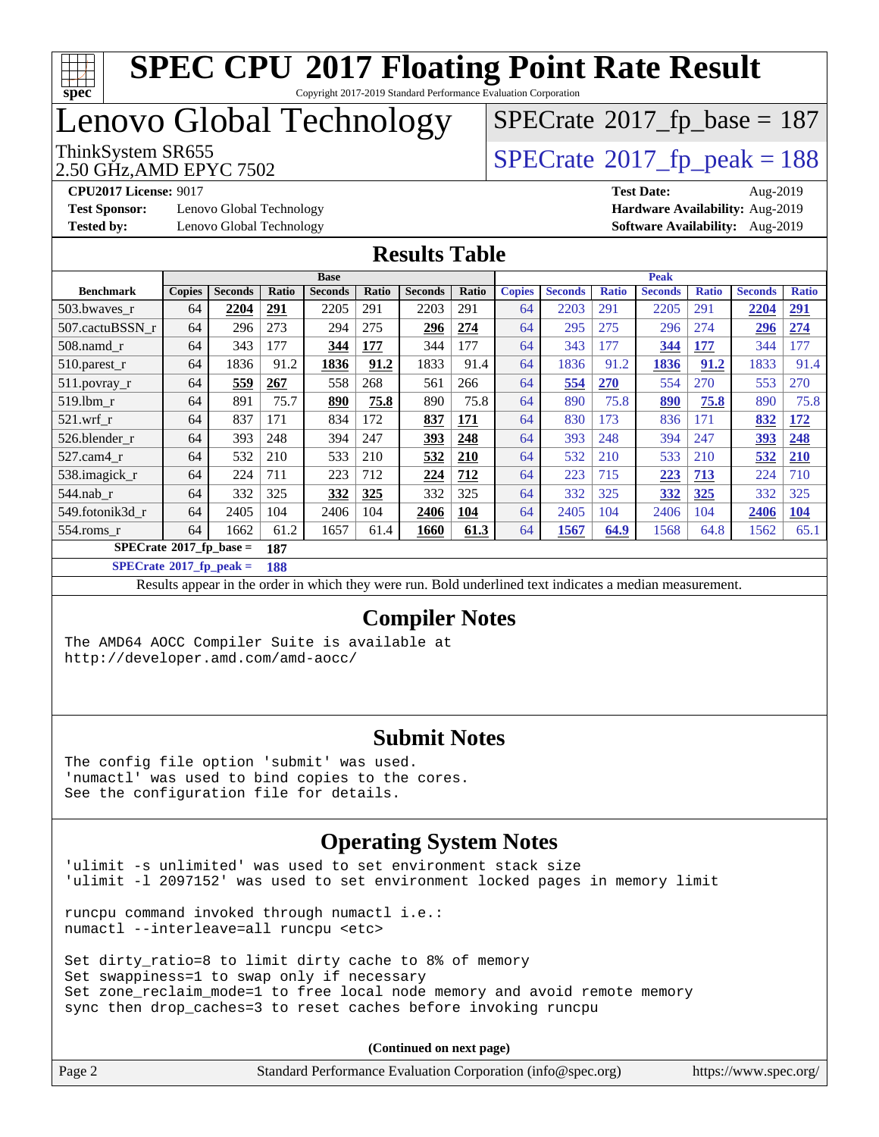

Copyright 2017-2019 Standard Performance Evaluation Corporation

# Lenovo Global Technology

2.50 GHz,AMD EPYC 7502

ThinkSystem SR655<br>2.50 GHz AMD EPYC 7502

 $SPECTate$ <sup>®</sup>[2017\\_fp\\_base =](http://www.spec.org/auto/cpu2017/Docs/result-fields.html#SPECrate2017fpbase) 187

**[Test Sponsor:](http://www.spec.org/auto/cpu2017/Docs/result-fields.html#TestSponsor)** Lenovo Global Technology **[Hardware Availability:](http://www.spec.org/auto/cpu2017/Docs/result-fields.html#HardwareAvailability)** Aug-2019

**[CPU2017 License:](http://www.spec.org/auto/cpu2017/Docs/result-fields.html#CPU2017License)** 9017 **[Test Date:](http://www.spec.org/auto/cpu2017/Docs/result-fields.html#TestDate)** Aug-2019 **[Tested by:](http://www.spec.org/auto/cpu2017/Docs/result-fields.html#Testedby)** Lenovo Global Technology **[Software Availability:](http://www.spec.org/auto/cpu2017/Docs/result-fields.html#SoftwareAvailability)** Aug-2019

#### **[Results Table](http://www.spec.org/auto/cpu2017/Docs/result-fields.html#ResultsTable)**

|                            | <b>Base</b>   |                |       |                |       | <b>Peak</b>    |             |               |                |              |                |              |                |              |
|----------------------------|---------------|----------------|-------|----------------|-------|----------------|-------------|---------------|----------------|--------------|----------------|--------------|----------------|--------------|
| <b>Benchmark</b>           | <b>Copies</b> | <b>Seconds</b> | Ratio | <b>Seconds</b> | Ratio | <b>Seconds</b> | Ratio       | <b>Copies</b> | <b>Seconds</b> | <b>Ratio</b> | <b>Seconds</b> | <b>Ratio</b> | <b>Seconds</b> | <b>Ratio</b> |
| 503.bwayes_r               | 64            | 2204           | 291   | 2205           | 291   | 2203           | 291         | 64            | 2203           | 291          | 2205           | 291          | 2204           | <u>291</u>   |
| 507.cactuBSSN r            | 64            | 296            | 273   | 294            | 275   | 296            | 274         | 64            | 295            | 275          | 296            | 274          | 296            | 274          |
| $508$ .namd $r$            | 64            | 343            | 177   | 344            | 177   | 344            | 177         | 64            | 343            | 177          | 344            | 177          | 344            | 177          |
| $510.parest_r$             | 64            | 1836           | 91.2  | 1836           | 91.2  | 1833           | 91.4        | 64            | 1836           | 91.2         | 1836           | 91.2         | 1833           | 91.4         |
| 511.povray_r               | 64            | 559            | 267   | 558            | 268   | 561            | 266         | 64            | 554            | <b>270</b>   | 554            | 270          | 553            | 270          |
| $519$ .lbm $r$             | 64            | 891            | 75.7  | 890            | 75.8  | 890            | 75.8        | 64            | 890            | 75.8         | 890            | 75.8         | 890            | 75.8         |
| $521$ .wrf r               | 64            | 837            | 171   | 834            | 172   | 837            | 171         | 64            | 830            | 173          | 836            | 171          | 832            | <b>172</b>   |
| 526.blender r              | 64            | 393            | 248   | 394            | 247   | 393            | 248         | 64            | 393            | 248          | 394            | 247          | 393            | 248          |
| 527.cam4 r                 | 64            | 532            | 210   | 533            | 210   | 532            | 210         | 64            | 532            | 210          | 533            | 210          | 532            | <b>210</b>   |
| 538.imagick_r              | 64            | 224            | 711   | 223            | 712   | 224            | 712         | 64            | 223            | 715          | 223            | 713          | 224            | 710          |
| 544.nab r                  | 64            | 332            | 325   | 332            | 325   | 332            | 325         | 64            | 332            | 325          | 332            | 325          | 332            | 325          |
| 549.fotonik3d r            | 64            | 2405           | 104   | 2406           | 104   | 2406           | 104         | 64            | 2405           | 104          | 2406           | 104          | 2406           | <b>104</b>   |
| $554$ .roms r              | 64            | 1662           | 61.2  | 1657           | 61.4  | 1660           | <u>61.3</u> | 64            | 1567           | 64.9         | 1568           | 64.8         | 1562           | 65.1         |
| $SPECrate*2017_fp\_base =$ |               |                | 187   |                |       |                |             |               |                |              |                |              |                |              |

**[SPECrate](http://www.spec.org/auto/cpu2017/Docs/result-fields.html#SPECrate2017fppeak)[2017\\_fp\\_peak =](http://www.spec.org/auto/cpu2017/Docs/result-fields.html#SPECrate2017fppeak) 188**

Results appear in the [order in which they were run.](http://www.spec.org/auto/cpu2017/Docs/result-fields.html#RunOrder) Bold underlined text [indicates a median measurement.](http://www.spec.org/auto/cpu2017/Docs/result-fields.html#Median)

#### **[Compiler Notes](http://www.spec.org/auto/cpu2017/Docs/result-fields.html#CompilerNotes)**

The AMD64 AOCC Compiler Suite is available at <http://developer.amd.com/amd-aocc/>

### **[Submit Notes](http://www.spec.org/auto/cpu2017/Docs/result-fields.html#SubmitNotes)**

The config file option 'submit' was used. 'numactl' was used to bind copies to the cores. See the configuration file for details.

## **[Operating System Notes](http://www.spec.org/auto/cpu2017/Docs/result-fields.html#OperatingSystemNotes)**

'ulimit -s unlimited' was used to set environment stack size 'ulimit -l 2097152' was used to set environment locked pages in memory limit

runcpu command invoked through numactl i.e.: numactl --interleave=all runcpu <etc>

Set dirty\_ratio=8 to limit dirty cache to 8% of memory Set swappiness=1 to swap only if necessary Set zone\_reclaim\_mode=1 to free local node memory and avoid remote memory sync then drop\_caches=3 to reset caches before invoking runcpu

**(Continued on next page)**

| Page 2 | Standard Performance Evaluation Corporation (info@spec.org) | https://www.spec.org/ |
|--------|-------------------------------------------------------------|-----------------------|
|        |                                                             |                       |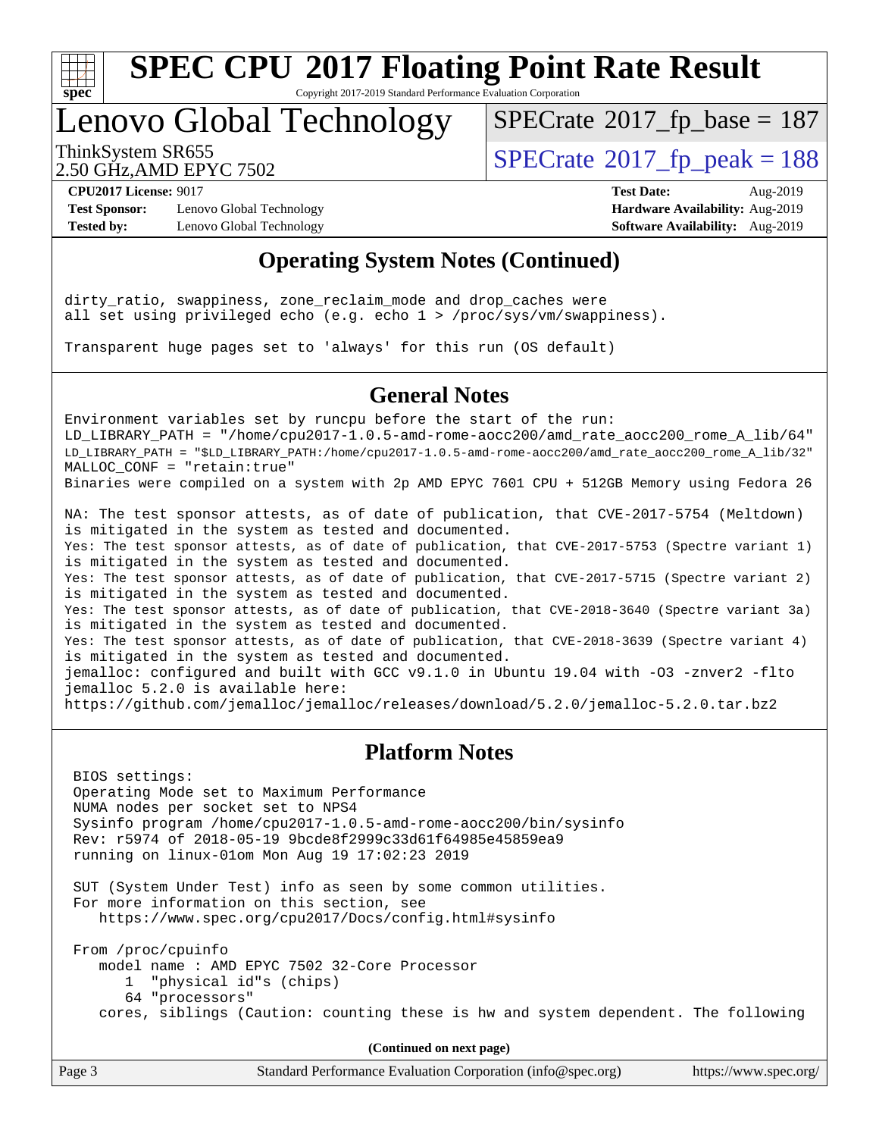

Copyright 2017-2019 Standard Performance Evaluation Corporation

# Lenovo Global Technology

 $SPECTate$ <sup>®</sup>[2017\\_fp\\_base =](http://www.spec.org/auto/cpu2017/Docs/result-fields.html#SPECrate2017fpbase) 187

2.50 GHz,AMD EPYC 7502

ThinkSystem SR655<br>2.50 GHz AMD EPYC 7502

**[Test Sponsor:](http://www.spec.org/auto/cpu2017/Docs/result-fields.html#TestSponsor)** Lenovo Global Technology **[Hardware Availability:](http://www.spec.org/auto/cpu2017/Docs/result-fields.html#HardwareAvailability)** Aug-2019 **[Tested by:](http://www.spec.org/auto/cpu2017/Docs/result-fields.html#Testedby)** Lenovo Global Technology **[Software Availability:](http://www.spec.org/auto/cpu2017/Docs/result-fields.html#SoftwareAvailability)** Aug-2019

**[CPU2017 License:](http://www.spec.org/auto/cpu2017/Docs/result-fields.html#CPU2017License)** 9017 **[Test Date:](http://www.spec.org/auto/cpu2017/Docs/result-fields.html#TestDate)** Aug-2019

### **[Operating System Notes \(Continued\)](http://www.spec.org/auto/cpu2017/Docs/result-fields.html#OperatingSystemNotes)**

dirty\_ratio, swappiness, zone\_reclaim\_mode and drop\_caches were all set using privileged echo (e.g. echo 1 > /proc/sys/vm/swappiness).

Transparent huge pages set to 'always' for this run (OS default)

### **[General Notes](http://www.spec.org/auto/cpu2017/Docs/result-fields.html#GeneralNotes)**

Environment variables set by runcpu before the start of the run: LD LIBRARY PATH = "/home/cpu2017-1.0.5-amd-rome-aocc200/amd rate aocc200 rome A lib/64" LD\_LIBRARY\_PATH = "\$LD\_LIBRARY\_PATH:/home/cpu2017-1.0.5-amd-rome-aocc200/amd\_rate\_aocc200\_rome\_A\_lib/32" MALLOC\_CONF = "retain:true" Binaries were compiled on a system with 2p AMD EPYC 7601 CPU + 512GB Memory using Fedora 26

NA: The test sponsor attests, as of date of publication, that CVE-2017-5754 (Meltdown) is mitigated in the system as tested and documented. Yes: The test sponsor attests, as of date of publication, that CVE-2017-5753 (Spectre variant 1) is mitigated in the system as tested and documented. Yes: The test sponsor attests, as of date of publication, that CVE-2017-5715 (Spectre variant 2) is mitigated in the system as tested and documented. Yes: The test sponsor attests, as of date of publication, that CVE-2018-3640 (Spectre variant 3a) is mitigated in the system as tested and documented. Yes: The test sponsor attests, as of date of publication, that CVE-2018-3639 (Spectre variant 4) is mitigated in the system as tested and documented. jemalloc: configured and built with GCC v9.1.0 in Ubuntu 19.04 with -O3 -znver2 -flto jemalloc 5.2.0 is available here: <https://github.com/jemalloc/jemalloc/releases/download/5.2.0/jemalloc-5.2.0.tar.bz2>

### **[Platform Notes](http://www.spec.org/auto/cpu2017/Docs/result-fields.html#PlatformNotes)**

 BIOS settings: Operating Mode set to Maximum Performance NUMA nodes per socket set to NPS4 Sysinfo program /home/cpu2017-1.0.5-amd-rome-aocc200/bin/sysinfo Rev: r5974 of 2018-05-19 9bcde8f2999c33d61f64985e45859ea9 running on linux-01om Mon Aug 19 17:02:23 2019 SUT (System Under Test) info as seen by some common utilities.

 For more information on this section, see <https://www.spec.org/cpu2017/Docs/config.html#sysinfo>

 From /proc/cpuinfo model name : AMD EPYC 7502 32-Core Processor 1 "physical id"s (chips) 64 "processors" cores, siblings (Caution: counting these is hw and system dependent. The following

**(Continued on next page)**

| Page 3 | Standard Performance Evaluation Corporation (info@spec.org) | https://www.spec.org/ |
|--------|-------------------------------------------------------------|-----------------------|
|        |                                                             |                       |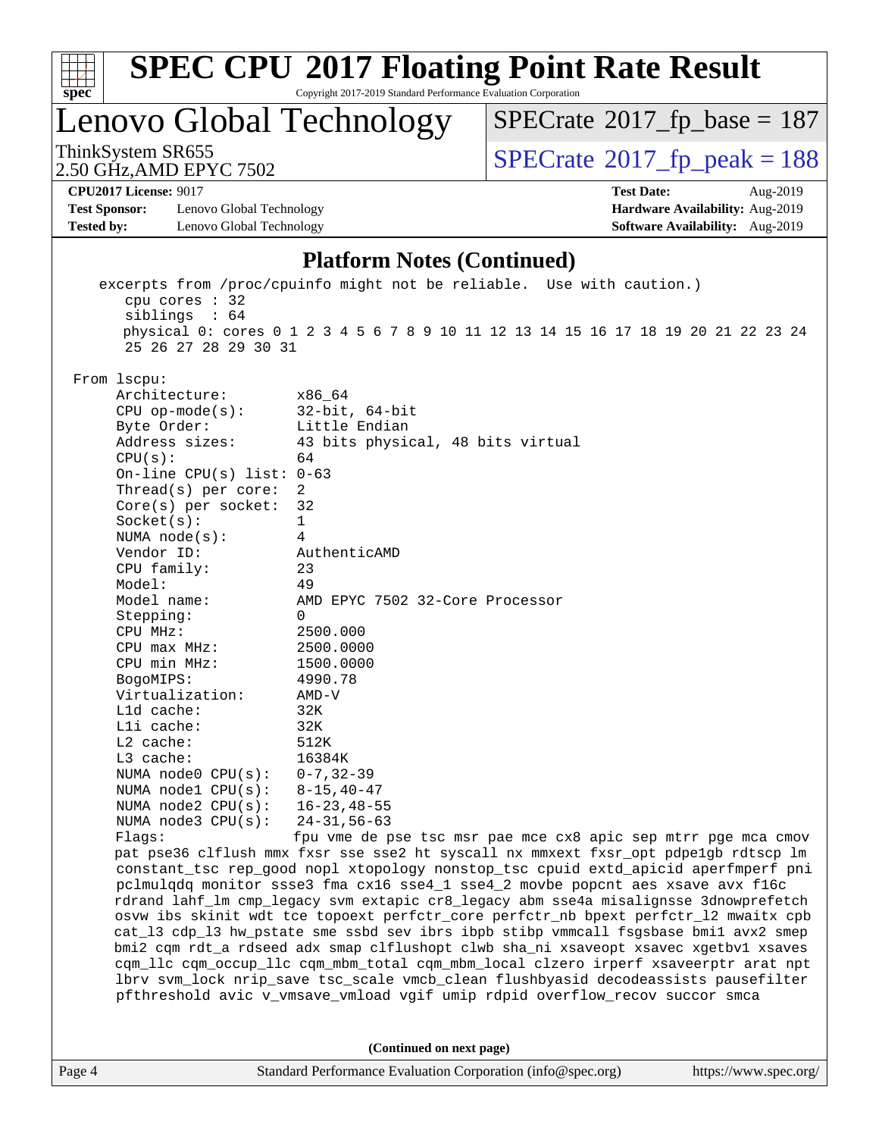

Copyright 2017-2019 Standard Performance Evaluation Corporation

Lenovo Global Technology

 $SPECTate$ <sup>®</sup>[2017\\_fp\\_base =](http://www.spec.org/auto/cpu2017/Docs/result-fields.html#SPECrate2017fpbase) 187

2.50 GHz,AMD EPYC 7502

ThinkSystem SR655<br>2.50 GHz AMD EPYC 7502

**[CPU2017 License:](http://www.spec.org/auto/cpu2017/Docs/result-fields.html#CPU2017License)** 9017 **[Test Date:](http://www.spec.org/auto/cpu2017/Docs/result-fields.html#TestDate)** Aug-2019

**[Test Sponsor:](http://www.spec.org/auto/cpu2017/Docs/result-fields.html#TestSponsor)** Lenovo Global Technology **[Hardware Availability:](http://www.spec.org/auto/cpu2017/Docs/result-fields.html#HardwareAvailability)** Aug-2019 **[Tested by:](http://www.spec.org/auto/cpu2017/Docs/result-fields.html#Testedby)** Lenovo Global Technology **[Software Availability:](http://www.spec.org/auto/cpu2017/Docs/result-fields.html#SoftwareAvailability)** Aug-2019

#### **[Platform Notes \(Continued\)](http://www.spec.org/auto/cpu2017/Docs/result-fields.html#PlatformNotes)**

 excerpts from /proc/cpuinfo might not be reliable. Use with caution.) cpu cores : 32 siblings : 64 physical 0: cores 0 1 2 3 4 5 6 7 8 9 10 11 12 13 14 15 16 17 18 19 20 21 22 23 24 25 26 27 28 29 30 31 From lscpu: Architecture: x86\_64 CPU op-mode(s): 32-bit, 64-bit Byte Order: Little Endian Address sizes: 43 bits physical, 48 bits virtual  $CPU(s):$  64 On-line CPU(s) list: 0-63 Thread(s) per core: 2 Core(s) per socket: 32 Socket(s): 1 NUMA node(s): 4 Vendor ID: AuthenticAMD CPU family: 23 Model: 49 Model name: AMD EPYC 7502 32-Core Processor Stepping: 0 CPU MHz: 2500.000 CPU max MHz: 2500.0000 CPU min MHz: 1500.0000 BogoMIPS: 4990.78 Virtualization: AMD-V L1d cache: 32K L1i cache: 32K L2 cache: 512K<br>
L3 cache: 512K  $L3$  cache: NUMA node0 CPU(s): 0-7,32-39 NUMA node1 CPU(s): 8-15,40-47 NUMA node2 CPU(s): 16-23,48-55 NUMA node3 CPU(s): 24-31,56-63 Flags: fpu vme de pse tsc msr pae mce cx8 apic sep mtrr pge mca cmov pat pse36 clflush mmx fxsr sse sse2 ht syscall nx mmxext fxsr\_opt pdpe1gb rdtscp lm constant\_tsc rep\_good nopl xtopology nonstop\_tsc cpuid extd\_apicid aperfmperf pni pclmulqdq monitor ssse3 fma cx16 sse4\_1 sse4\_2 movbe popcnt aes xsave avx f16c rdrand lahf\_lm cmp\_legacy svm extapic cr8\_legacy abm sse4a misalignsse 3dnowprefetch osvw ibs skinit wdt tce topoext perfctr\_core perfctr\_nb bpext perfctr\_l2 mwaitx cpb cat\_l3 cdp\_l3 hw\_pstate sme ssbd sev ibrs ibpb stibp vmmcall fsgsbase bmi1 avx2 smep bmi2 cqm rdt\_a rdseed adx smap clflushopt clwb sha\_ni xsaveopt xsavec xgetbv1 xsaves cqm\_llc cqm\_occup\_llc cqm\_mbm\_total cqm\_mbm\_local clzero irperf xsaveerptr arat npt lbrv svm\_lock nrip\_save tsc\_scale vmcb\_clean flushbyasid decodeassists pausefilter pfthreshold avic v\_vmsave\_vmload vgif umip rdpid overflow\_recov succor smca **(Continued on next page)**

Page 4 Standard Performance Evaluation Corporation [\(info@spec.org\)](mailto:info@spec.org) <https://www.spec.org/>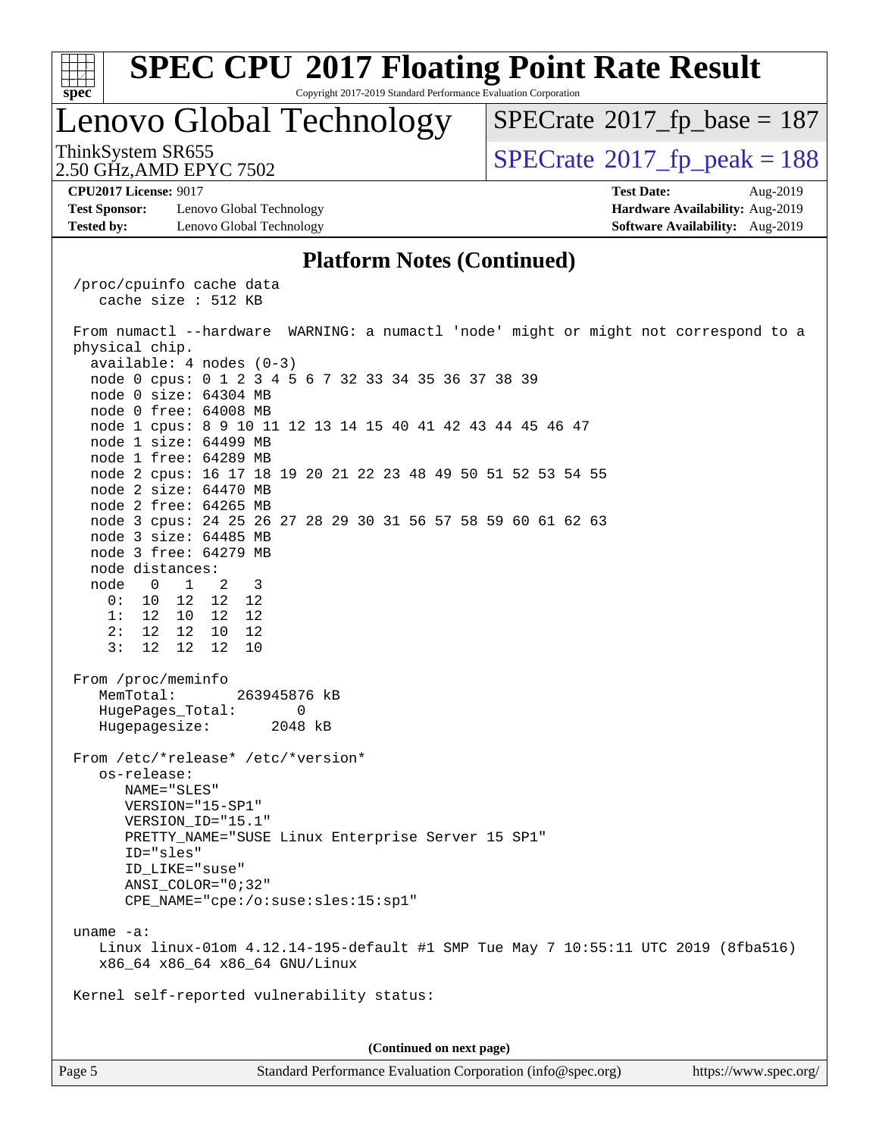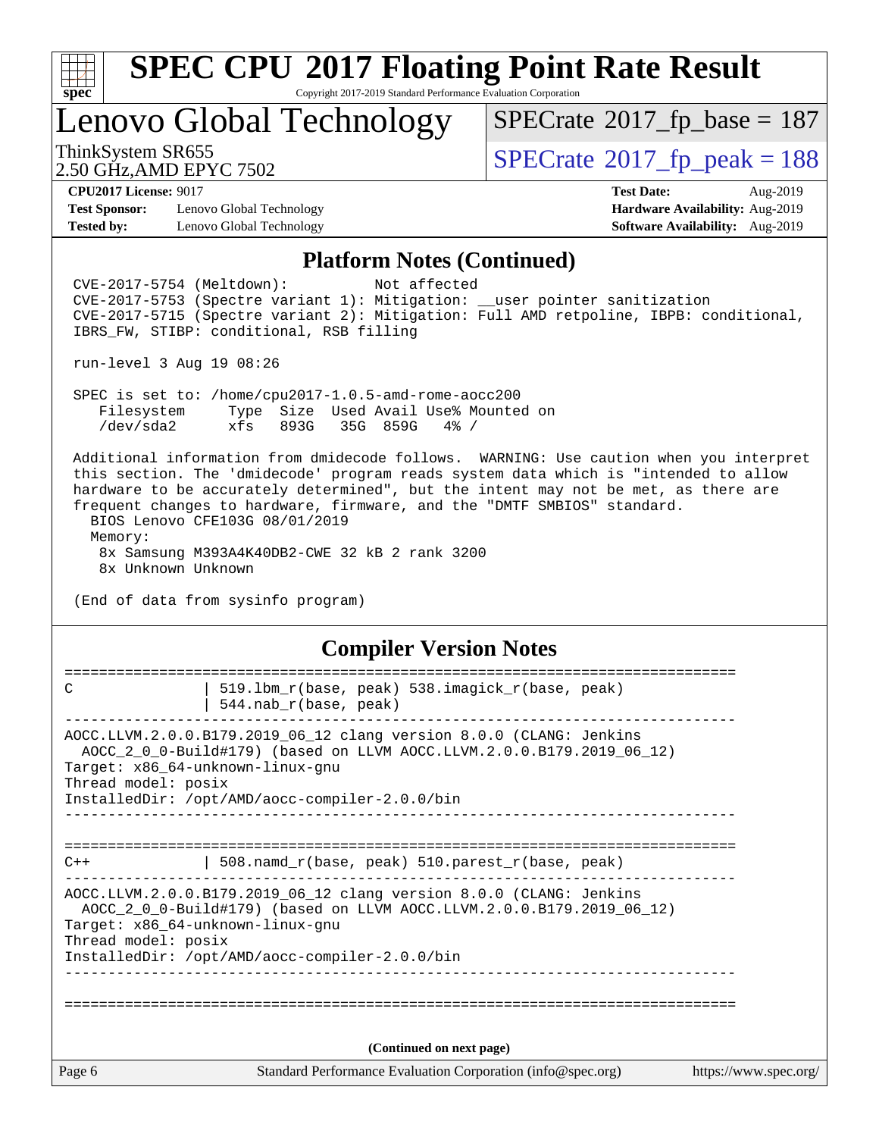

Copyright 2017-2019 Standard Performance Evaluation Corporation

Lenovo Global Technology

ThinkSystem SR655<br>2.50 GHz AMD EPYC 7502  $SPECTate$ <sup>®</sup>[2017\\_fp\\_base =](http://www.spec.org/auto/cpu2017/Docs/result-fields.html#SPECrate2017fpbase) 187

2.50 GHz,AMD EPYC 7502

**[Test Sponsor:](http://www.spec.org/auto/cpu2017/Docs/result-fields.html#TestSponsor)** Lenovo Global Technology **[Hardware Availability:](http://www.spec.org/auto/cpu2017/Docs/result-fields.html#HardwareAvailability)** Aug-2019 **[Tested by:](http://www.spec.org/auto/cpu2017/Docs/result-fields.html#Testedby)** Lenovo Global Technology **[Software Availability:](http://www.spec.org/auto/cpu2017/Docs/result-fields.html#SoftwareAvailability)** Aug-2019

**[CPU2017 License:](http://www.spec.org/auto/cpu2017/Docs/result-fields.html#CPU2017License)** 9017 **[Test Date:](http://www.spec.org/auto/cpu2017/Docs/result-fields.html#TestDate)** Aug-2019

#### **[Platform Notes \(Continued\)](http://www.spec.org/auto/cpu2017/Docs/result-fields.html#PlatformNotes)**

Page 6 Standard Performance Evaluation Corporation [\(info@spec.org\)](mailto:info@spec.org) <https://www.spec.org/> CVE-2017-5754 (Meltdown): Not affected CVE-2017-5753 (Spectre variant 1): Mitigation: \_\_user pointer sanitization CVE-2017-5715 (Spectre variant 2): Mitigation: Full AMD retpoline, IBPB: conditional, IBRS\_FW, STIBP: conditional, RSB filling run-level 3 Aug 19 08:26 SPEC is set to: /home/cpu2017-1.0.5-amd-rome-aocc200 Filesystem Type Size Used Avail Use% Mounted on /dev/sda2 xfs 893G 35G 859G 4% / Additional information from dmidecode follows. WARNING: Use caution when you interpret this section. The 'dmidecode' program reads system data which is "intended to allow hardware to be accurately determined", but the intent may not be met, as there are frequent changes to hardware, firmware, and the "DMTF SMBIOS" standard. BIOS Lenovo CFE103G 08/01/2019 Memory: 8x Samsung M393A4K40DB2-CWE 32 kB 2 rank 3200 8x Unknown Unknown (End of data from sysinfo program) **[Compiler Version Notes](http://www.spec.org/auto/cpu2017/Docs/result-fields.html#CompilerVersionNotes)** ============================================================================== C | 519.lbm\_r(base, peak) 538.imagick\_r(base, peak) | 544.nab\_r(base, peak) ------------------------------------------------------------------------------ AOCC.LLVM.2.0.0.B179.2019\_06\_12 clang version 8.0.0 (CLANG: Jenkins AOCC\_2\_0\_0-Build#179) (based on LLVM AOCC.LLVM.2.0.0.B179.2019\_06\_12) Target: x86\_64-unknown-linux-gnu Thread model: posix InstalledDir: /opt/AMD/aocc-compiler-2.0.0/bin ------------------------------------------------------------------------------ ============================================================================== C++ | 508.namd\_r(base, peak) 510.parest\_r(base, peak) ------------------------------------------------------------------------------ AOCC.LLVM.2.0.0.B179.2019\_06\_12 clang version 8.0.0 (CLANG: Jenkins AOCC\_2\_0\_0-Build#179) (based on LLVM AOCC.LLVM.2.0.0.B179.2019\_06\_12) Target: x86\_64-unknown-linux-gnu Thread model: posix InstalledDir: /opt/AMD/aocc-compiler-2.0.0/bin ------------------------------------------------------------------------------ ============================================================================== **(Continued on next page)**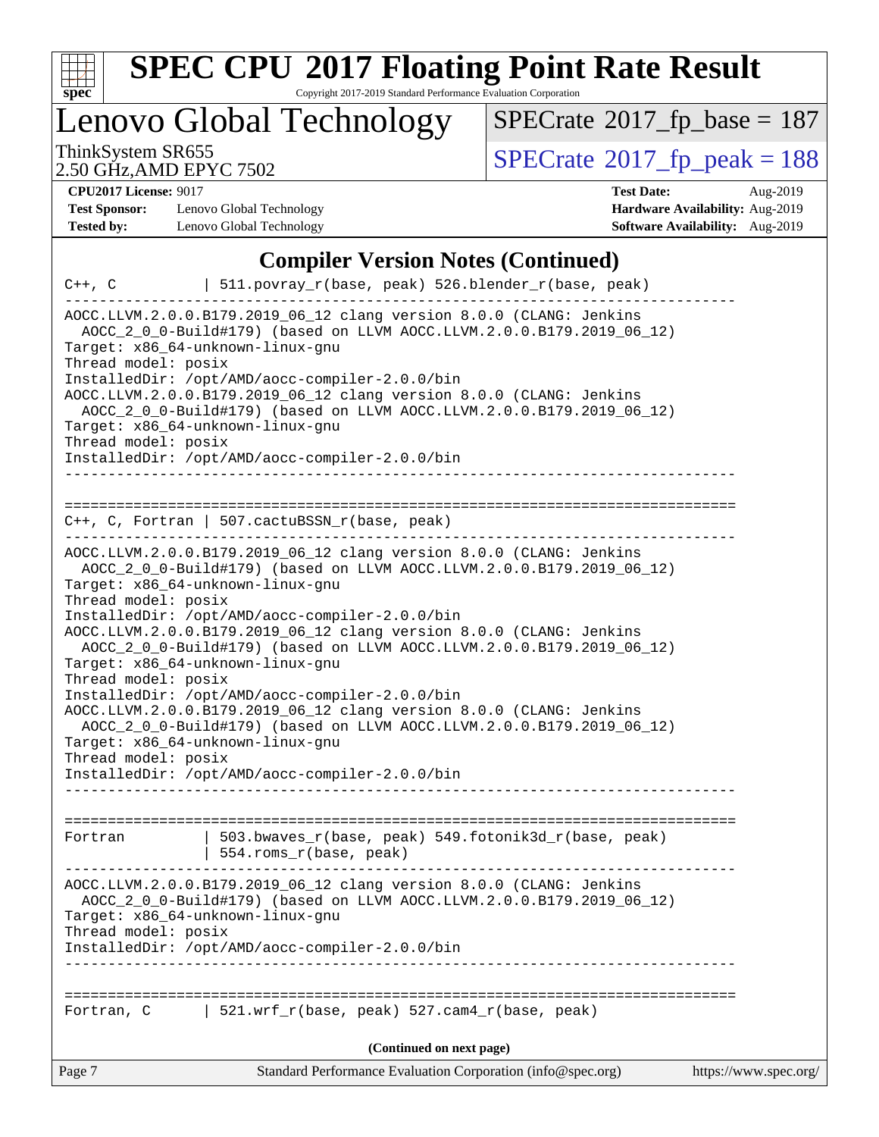

Copyright 2017-2019 Standard Performance Evaluation Corporation

Lenovo Global Technology

 $SPECrate$ <sup>®</sup>[2017\\_fp\\_base =](http://www.spec.org/auto/cpu2017/Docs/result-fields.html#SPECrate2017fpbase) 187

2.50 GHz,AMD EPYC 7502

ThinkSystem SR655<br>2.50 GHz. AMD EPYC 7502

**[Test Sponsor:](http://www.spec.org/auto/cpu2017/Docs/result-fields.html#TestSponsor)** Lenovo Global Technology **[Hardware Availability:](http://www.spec.org/auto/cpu2017/Docs/result-fields.html#HardwareAvailability)** Aug-2019 **[Tested by:](http://www.spec.org/auto/cpu2017/Docs/result-fields.html#Testedby)** Lenovo Global Technology **[Software Availability:](http://www.spec.org/auto/cpu2017/Docs/result-fields.html#SoftwareAvailability)** Aug-2019

**[CPU2017 License:](http://www.spec.org/auto/cpu2017/Docs/result-fields.html#CPU2017License)** 9017 **[Test Date:](http://www.spec.org/auto/cpu2017/Docs/result-fields.html#TestDate)** Aug-2019

## **[Compiler Version Notes \(Continued\)](http://www.spec.org/auto/cpu2017/Docs/result-fields.html#CompilerVersionNotes)**

| $C++$ , $C$                                                                                                                                                                                                                                                                                                                         | 511.povray_r(base, peak) 526.blender_r(base, peak)                                                                                                                                                                                                                                                                                                                                                                                                                              |                       |
|-------------------------------------------------------------------------------------------------------------------------------------------------------------------------------------------------------------------------------------------------------------------------------------------------------------------------------------|---------------------------------------------------------------------------------------------------------------------------------------------------------------------------------------------------------------------------------------------------------------------------------------------------------------------------------------------------------------------------------------------------------------------------------------------------------------------------------|-----------------------|
| Target: x86_64-unknown-linux-gnu<br>Thread model: posix<br>InstalledDir: /opt/AMD/aocc-compiler-2.0.0/bin<br>Target: x86_64-unknown-linux-gnu<br>Thread model: posix<br>InstalledDir: /opt/AMD/aocc-compiler-2.0.0/bin                                                                                                              | AOCC.LLVM.2.0.0.B179.2019_06_12 clang version 8.0.0 (CLANG: Jenkins<br>AOCC_2_0_0-Build#179) (based on LLVM AOCC.LLVM.2.0.0.B179.2019_06_12)<br>AOCC.LLVM.2.0.0.B179.2019_06_12 clang version 8.0.0 (CLANG: Jenkins<br>AOCC_2_0_0-Build#179) (based on LLVM AOCC.LLVM.2.0.0.B179.2019_06_12)                                                                                                                                                                                    |                       |
| $C++$ , C, Fortran   507.cactuBSSN_r(base, peak)                                                                                                                                                                                                                                                                                    |                                                                                                                                                                                                                                                                                                                                                                                                                                                                                 |                       |
| Target: x86_64-unknown-linux-gnu<br>Thread model: posix<br>InstalledDir: /opt/AMD/aocc-compiler-2.0.0/bin<br>Target: x86_64-unknown-linux-gnu<br>Thread model: posix<br>InstalledDir: /opt/AMD/aocc-compiler-2.0.0/bin<br>Target: x86_64-unknown-linux-gnu<br>Thread model: posix<br>InstalledDir: /opt/AMD/aocc-compiler-2.0.0/bin | AOCC.LLVM.2.0.0.B179.2019_06_12 clang version 8.0.0 (CLANG: Jenkins<br>AOCC 2 0 0-Build#179) (based on LLVM AOCC.LLVM.2.0.0.B179.2019 06 12)<br>AOCC.LLVM.2.0.0.B179.2019_06_12 clang version 8.0.0 (CLANG: Jenkins<br>AOCC 2 0 0-Build#179) (based on LLVM AOCC.LLVM.2.0.0.B179.2019 06 12)<br>AOCC.LLVM.2.0.0.B179.2019_06_12 clang version 8.0.0 (CLANG: Jenkins<br>AOCC_2_0_0-Build#179) (based on LLVM AOCC.LLVM.2.0.0.B179.2019_06_12)<br>------------------------------- |                       |
| Fortran                                                                                                                                                                                                                                                                                                                             | 503.bwaves_r(base, peak) 549.fotonik3d_r(base, peak)<br>554.roms_r(base, peak)                                                                                                                                                                                                                                                                                                                                                                                                  |                       |
| Target: x86_64-unknown-linux-gnu<br>Thread model: posix<br>InstalledDir: /opt/AMD/aocc-compiler-2.0.0/bin                                                                                                                                                                                                                           | AOCC.LLVM.2.0.0.B179.2019_06_12 clang version 8.0.0 (CLANG: Jenkins<br>AOCC_2_0_0-Build#179) (based on LLVM AOCC.LLVM.2.0.0.B179.2019_06_12)                                                                                                                                                                                                                                                                                                                                    |                       |
| Fortran, C                                                                                                                                                                                                                                                                                                                          | 521.wrf_r(base, peak) 527.cam4_r(base, peak)                                                                                                                                                                                                                                                                                                                                                                                                                                    |                       |
|                                                                                                                                                                                                                                                                                                                                     | (Continued on next page)                                                                                                                                                                                                                                                                                                                                                                                                                                                        |                       |
| Page 7                                                                                                                                                                                                                                                                                                                              | Standard Performance Evaluation Corporation (info@spec.org)                                                                                                                                                                                                                                                                                                                                                                                                                     | https://www.spec.org/ |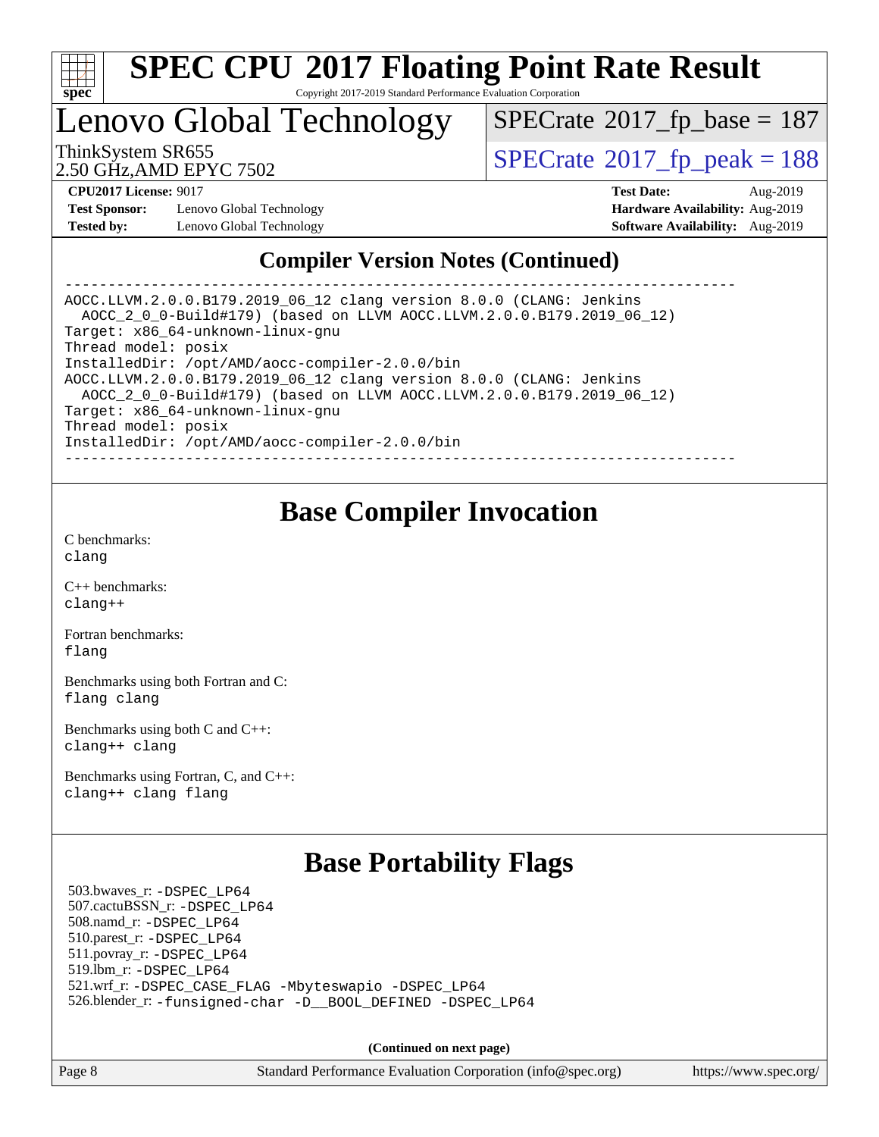

Copyright 2017-2019 Standard Performance Evaluation Corporation

## Lenovo Global Technology

 $SPECrate$ <sup>®</sup>[2017\\_fp\\_base =](http://www.spec.org/auto/cpu2017/Docs/result-fields.html#SPECrate2017fpbase) 187

2.50 GHz,AMD EPYC 7502

ThinkSystem SR655<br>2.50 GHz AMD FPYC 7502

**[Test Sponsor:](http://www.spec.org/auto/cpu2017/Docs/result-fields.html#TestSponsor)** Lenovo Global Technology **[Hardware Availability:](http://www.spec.org/auto/cpu2017/Docs/result-fields.html#HardwareAvailability)** Aug-2019 **[Tested by:](http://www.spec.org/auto/cpu2017/Docs/result-fields.html#Testedby)** Lenovo Global Technology **[Software Availability:](http://www.spec.org/auto/cpu2017/Docs/result-fields.html#SoftwareAvailability)** Aug-2019

**[CPU2017 License:](http://www.spec.org/auto/cpu2017/Docs/result-fields.html#CPU2017License)** 9017 **[Test Date:](http://www.spec.org/auto/cpu2017/Docs/result-fields.html#TestDate)** Aug-2019

## **[Compiler Version Notes \(Continued\)](http://www.spec.org/auto/cpu2017/Docs/result-fields.html#CompilerVersionNotes)**

------------------------------------------------------------------------------ AOCC.LLVM.2.0.0.B179.2019\_06\_12 clang version 8.0.0 (CLANG: Jenkins AOCC\_2\_0\_0-Build#179) (based on LLVM AOCC.LLVM.2.0.0.B179.2019\_06\_12) Target: x86\_64-unknown-linux-gnu Thread model: posix InstalledDir: /opt/AMD/aocc-compiler-2.0.0/bin AOCC.LLVM.2.0.0.B179.2019\_06\_12 clang version 8.0.0 (CLANG: Jenkins AOCC\_2\_0\_0-Build#179) (based on LLVM AOCC.LLVM.2.0.0.B179.2019\_06\_12) Target: x86\_64-unknown-linux-gnu Thread model: posix InstalledDir: /opt/AMD/aocc-compiler-2.0.0/bin ------------------------------------------------------------------------------

## **[Base Compiler Invocation](http://www.spec.org/auto/cpu2017/Docs/result-fields.html#BaseCompilerInvocation)**

[C benchmarks](http://www.spec.org/auto/cpu2017/Docs/result-fields.html#Cbenchmarks): [clang](http://www.spec.org/cpu2017/results/res2019q3/cpu2017-20190902-17392.flags.html#user_CCbase_clang-c)

[C++ benchmarks:](http://www.spec.org/auto/cpu2017/Docs/result-fields.html#CXXbenchmarks) [clang++](http://www.spec.org/cpu2017/results/res2019q3/cpu2017-20190902-17392.flags.html#user_CXXbase_clang-cpp)

[Fortran benchmarks](http://www.spec.org/auto/cpu2017/Docs/result-fields.html#Fortranbenchmarks): [flang](http://www.spec.org/cpu2017/results/res2019q3/cpu2017-20190902-17392.flags.html#user_FCbase_flang)

[Benchmarks using both Fortran and C](http://www.spec.org/auto/cpu2017/Docs/result-fields.html#BenchmarksusingbothFortranandC): [flang](http://www.spec.org/cpu2017/results/res2019q3/cpu2017-20190902-17392.flags.html#user_CC_FCbase_flang) [clang](http://www.spec.org/cpu2017/results/res2019q3/cpu2017-20190902-17392.flags.html#user_CC_FCbase_clang-c)

[Benchmarks using both C and C++](http://www.spec.org/auto/cpu2017/Docs/result-fields.html#BenchmarksusingbothCandCXX): [clang++](http://www.spec.org/cpu2017/results/res2019q3/cpu2017-20190902-17392.flags.html#user_CC_CXXbase_clang-cpp) [clang](http://www.spec.org/cpu2017/results/res2019q3/cpu2017-20190902-17392.flags.html#user_CC_CXXbase_clang-c)

[Benchmarks using Fortran, C, and C++:](http://www.spec.org/auto/cpu2017/Docs/result-fields.html#BenchmarksusingFortranCandCXX) [clang++](http://www.spec.org/cpu2017/results/res2019q3/cpu2017-20190902-17392.flags.html#user_CC_CXX_FCbase_clang-cpp) [clang](http://www.spec.org/cpu2017/results/res2019q3/cpu2017-20190902-17392.flags.html#user_CC_CXX_FCbase_clang-c) [flang](http://www.spec.org/cpu2017/results/res2019q3/cpu2017-20190902-17392.flags.html#user_CC_CXX_FCbase_flang)

## **[Base Portability Flags](http://www.spec.org/auto/cpu2017/Docs/result-fields.html#BasePortabilityFlags)**

 503.bwaves\_r: [-DSPEC\\_LP64](http://www.spec.org/cpu2017/results/res2019q3/cpu2017-20190902-17392.flags.html#suite_baseEXTRA_PORTABILITY503_bwaves_r_DSPEC_LP64) 507.cactuBSSN\_r: [-DSPEC\\_LP64](http://www.spec.org/cpu2017/results/res2019q3/cpu2017-20190902-17392.flags.html#suite_baseEXTRA_PORTABILITY507_cactuBSSN_r_DSPEC_LP64) 508.namd\_r: [-DSPEC\\_LP64](http://www.spec.org/cpu2017/results/res2019q3/cpu2017-20190902-17392.flags.html#suite_baseEXTRA_PORTABILITY508_namd_r_DSPEC_LP64) 510.parest\_r: [-DSPEC\\_LP64](http://www.spec.org/cpu2017/results/res2019q3/cpu2017-20190902-17392.flags.html#suite_baseEXTRA_PORTABILITY510_parest_r_DSPEC_LP64) 511.povray\_r: [-DSPEC\\_LP64](http://www.spec.org/cpu2017/results/res2019q3/cpu2017-20190902-17392.flags.html#suite_baseEXTRA_PORTABILITY511_povray_r_DSPEC_LP64) 519.lbm\_r: [-DSPEC\\_LP64](http://www.spec.org/cpu2017/results/res2019q3/cpu2017-20190902-17392.flags.html#suite_baseEXTRA_PORTABILITY519_lbm_r_DSPEC_LP64) 521.wrf\_r: [-DSPEC\\_CASE\\_FLAG](http://www.spec.org/cpu2017/results/res2019q3/cpu2017-20190902-17392.flags.html#b521.wrf_r_baseCPORTABILITY_DSPEC_CASE_FLAG) [-Mbyteswapio](http://www.spec.org/cpu2017/results/res2019q3/cpu2017-20190902-17392.flags.html#user_baseFPORTABILITY521_wrf_r_F-mbyteswapio_543c39ce38db59bcbc3b888917ef58c313007ae1c27520b689e012995ae261114051d1d5efcb4182d175ce22a6a15532d3a9999882dd2c360e6d853f41da6883) [-DSPEC\\_LP64](http://www.spec.org/cpu2017/results/res2019q3/cpu2017-20190902-17392.flags.html#suite_baseEXTRA_PORTABILITY521_wrf_r_DSPEC_LP64) 526.blender\_r: [-funsigned-char](http://www.spec.org/cpu2017/results/res2019q3/cpu2017-20190902-17392.flags.html#user_baseCPORTABILITY526_blender_r_aocc-unsigned-char) [-D\\_\\_BOOL\\_DEFINED](http://www.spec.org/cpu2017/results/res2019q3/cpu2017-20190902-17392.flags.html#b526.blender_r_baseCXXPORTABILITY_D__BOOL_DEFINED) [-DSPEC\\_LP64](http://www.spec.org/cpu2017/results/res2019q3/cpu2017-20190902-17392.flags.html#suite_baseEXTRA_PORTABILITY526_blender_r_DSPEC_LP64)

**(Continued on next page)**

Page 8 Standard Performance Evaluation Corporation [\(info@spec.org\)](mailto:info@spec.org) <https://www.spec.org/>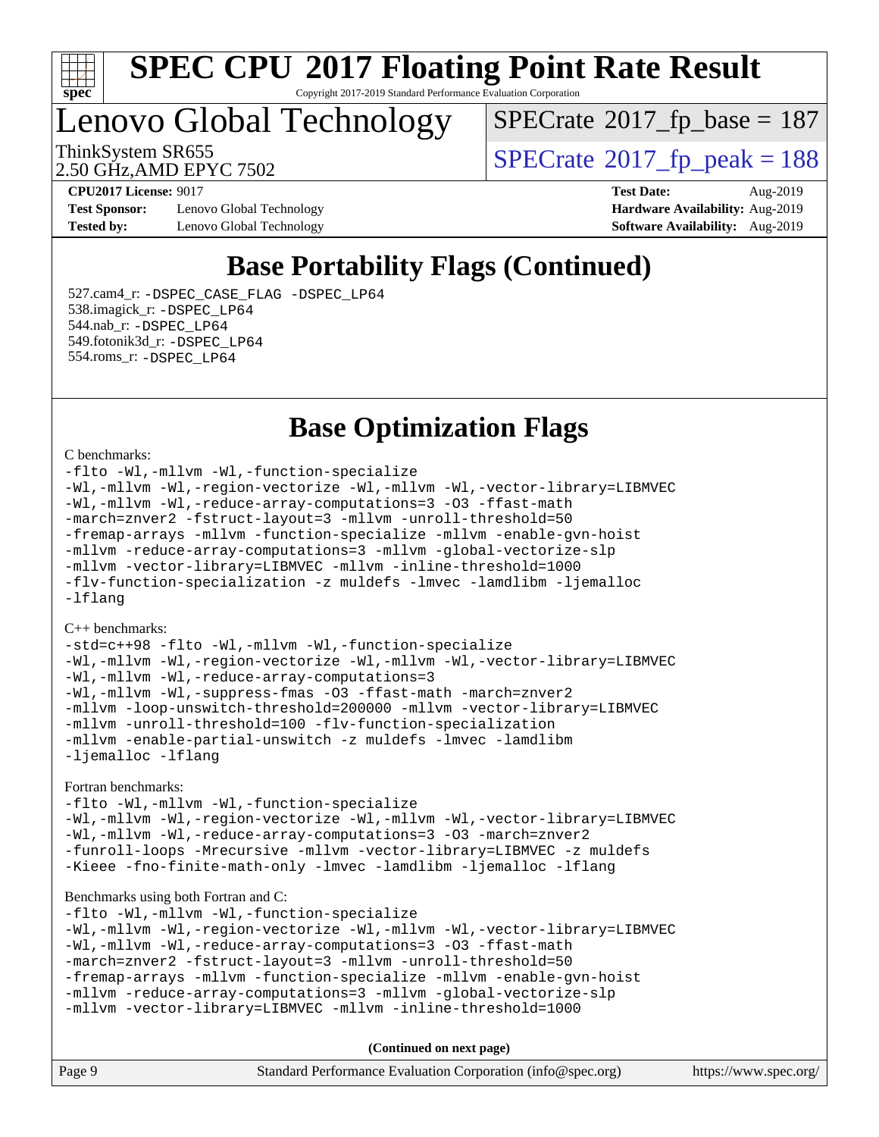

Copyright 2017-2019 Standard Performance Evaluation Corporation

# Lenovo Global Technology

 $SPECrate$ <sup>®</sup>[2017\\_fp\\_base =](http://www.spec.org/auto/cpu2017/Docs/result-fields.html#SPECrate2017fpbase) 187

2.50 GHz,AMD EPYC 7502

ThinkSystem SR655<br>2.50 GHz AMD EPYC 7502

**[Test Sponsor:](http://www.spec.org/auto/cpu2017/Docs/result-fields.html#TestSponsor)** Lenovo Global Technology **[Hardware Availability:](http://www.spec.org/auto/cpu2017/Docs/result-fields.html#HardwareAvailability)** Aug-2019 **[Tested by:](http://www.spec.org/auto/cpu2017/Docs/result-fields.html#Testedby)** Lenovo Global Technology **[Software Availability:](http://www.spec.org/auto/cpu2017/Docs/result-fields.html#SoftwareAvailability)** Aug-2019

**[CPU2017 License:](http://www.spec.org/auto/cpu2017/Docs/result-fields.html#CPU2017License)** 9017 **[Test Date:](http://www.spec.org/auto/cpu2017/Docs/result-fields.html#TestDate)** Aug-2019

## **[Base Portability Flags \(Continued\)](http://www.spec.org/auto/cpu2017/Docs/result-fields.html#BasePortabilityFlags)**

 527.cam4\_r: [-DSPEC\\_CASE\\_FLAG](http://www.spec.org/cpu2017/results/res2019q3/cpu2017-20190902-17392.flags.html#b527.cam4_r_basePORTABILITY_DSPEC_CASE_FLAG) [-DSPEC\\_LP64](http://www.spec.org/cpu2017/results/res2019q3/cpu2017-20190902-17392.flags.html#suite_baseEXTRA_PORTABILITY527_cam4_r_DSPEC_LP64) 538.imagick\_r: [-DSPEC\\_LP64](http://www.spec.org/cpu2017/results/res2019q3/cpu2017-20190902-17392.flags.html#suite_baseEXTRA_PORTABILITY538_imagick_r_DSPEC_LP64) 544.nab\_r: [-DSPEC\\_LP64](http://www.spec.org/cpu2017/results/res2019q3/cpu2017-20190902-17392.flags.html#suite_baseEXTRA_PORTABILITY544_nab_r_DSPEC_LP64) 549.fotonik3d\_r: [-DSPEC\\_LP64](http://www.spec.org/cpu2017/results/res2019q3/cpu2017-20190902-17392.flags.html#suite_baseEXTRA_PORTABILITY549_fotonik3d_r_DSPEC_LP64) 554.roms\_r: [-DSPEC\\_LP64](http://www.spec.org/cpu2017/results/res2019q3/cpu2017-20190902-17392.flags.html#suite_baseEXTRA_PORTABILITY554_roms_r_DSPEC_LP64)

## **[Base Optimization Flags](http://www.spec.org/auto/cpu2017/Docs/result-fields.html#BaseOptimizationFlags)**

#### [C benchmarks](http://www.spec.org/auto/cpu2017/Docs/result-fields.html#Cbenchmarks):

[-flto](http://www.spec.org/cpu2017/results/res2019q3/cpu2017-20190902-17392.flags.html#user_CCbase_aocc-flto) [-Wl,-mllvm -Wl,-function-specialize](http://www.spec.org/cpu2017/results/res2019q3/cpu2017-20190902-17392.flags.html#user_CCbase_F-function-specialize_7e7e661e57922243ee67c9a1251cb8910e607325179a0ce7f2884e09a6f5d4a5ef0ae4f37e8a2a11c95fc48e931f06dc2b6016f14b511fcb441e048bef1b065a) [-Wl,-mllvm -Wl,-region-vectorize](http://www.spec.org/cpu2017/results/res2019q3/cpu2017-20190902-17392.flags.html#user_CCbase_F-region-vectorize_fb6c6b5aa293c88efc6c7c2b52b20755e943585b1fe8658c35afef78727fff56e1a56891413c30e36b8e2a6f9a71126986319243e80eb6110b78b288f533c52b) [-Wl,-mllvm -Wl,-vector-library=LIBMVEC](http://www.spec.org/cpu2017/results/res2019q3/cpu2017-20190902-17392.flags.html#user_CCbase_F-use-vector-library_0a14b27fae317f283640384a31f7bfcc2bd4c1d0b5cfc618a3a430800c9b20217b00f61303eff223a3251b4f06ffbc9739dc5296db9d1fbb9ad24a3939d86d66) [-Wl,-mllvm -Wl,-reduce-array-computations=3](http://www.spec.org/cpu2017/results/res2019q3/cpu2017-20190902-17392.flags.html#user_CCbase_F-reduce-array-computations_b882aefe7a5dda4e33149f6299762b9a720dace3e498e13756f4c04e5a19edf5315c1f3993de2e61ec41e8c206231f84e05da7040e1bb5d69ba27d10a12507e4) [-O3](http://www.spec.org/cpu2017/results/res2019q3/cpu2017-20190902-17392.flags.html#user_CCbase_F-O3) [-ffast-math](http://www.spec.org/cpu2017/results/res2019q3/cpu2017-20190902-17392.flags.html#user_CCbase_aocc-ffast-math) [-march=znver2](http://www.spec.org/cpu2017/results/res2019q3/cpu2017-20190902-17392.flags.html#user_CCbase_aocc-march_3e2e19cff2eeef60c5d90b059483627c9ea47eca6d66670dbd53f9185f6439e27eb5e104cf773e9e8ab18c8842ce63e461a3e948d0214bd567ef3ade411bf467) [-fstruct-layout=3](http://www.spec.org/cpu2017/results/res2019q3/cpu2017-20190902-17392.flags.html#user_CCbase_F-struct-layout) [-mllvm -unroll-threshold=50](http://www.spec.org/cpu2017/results/res2019q3/cpu2017-20190902-17392.flags.html#user_CCbase_F-unroll-threshold_458874500b2c105d6d5cb4d7a611c40e2b16e9e3d26b355fea72d644c3673b4de4b3932662f0ed3dbec75c491a13da2d2ca81180bd779dc531083ef1e1e549dc) [-fremap-arrays](http://www.spec.org/cpu2017/results/res2019q3/cpu2017-20190902-17392.flags.html#user_CCbase_F-fremap-arrays) [-mllvm -function-specialize](http://www.spec.org/cpu2017/results/res2019q3/cpu2017-20190902-17392.flags.html#user_CCbase_F-function-specialize_233b3bdba86027f1b094368157e481c5bc59f40286dc25bfadc1858dcd5745c24fd30d5f188710db7fea399bcc9f44a80b3ce3aacc70a8870250c3ae5e1f35b8) [-mllvm -enable-gvn-hoist](http://www.spec.org/cpu2017/results/res2019q3/cpu2017-20190902-17392.flags.html#user_CCbase_F-enable-gvn-hoist_e5856354646dd6ca1333a0ad99b817e4cf8932b91b82809fd8fd47ceff7b22a89eba5c98fd3e3fa5200368fd772cec3dd56abc3c8f7b655a71b9f9848dddedd5) [-mllvm -reduce-array-computations=3](http://www.spec.org/cpu2017/results/res2019q3/cpu2017-20190902-17392.flags.html#user_CCbase_F-reduce-array-computations_aceadb8604558b566e0e3a0d7a3c1533923dd1fa0889614e16288028922629a28d5695c24d3b3be4306b1e311c54317dfffe3a2e57fbcaabc737a1798de39145) [-mllvm -global-vectorize-slp](http://www.spec.org/cpu2017/results/res2019q3/cpu2017-20190902-17392.flags.html#user_CCbase_F-global-vectorize-slp_a3935e8627af4ced727033b1ffd4db27f4d541a363d28d82bf4c2925fb3a0fd4115d6e42d13a2829f9e024d6608eb67a85cb49770f2da5c5ac8dbc737afad603) [-mllvm -vector-library=LIBMVEC](http://www.spec.org/cpu2017/results/res2019q3/cpu2017-20190902-17392.flags.html#user_CCbase_F-use-vector-library_e584e20b4f7ec96aa109254b65d8e01d864f3d68580371b9d93ed7c338191d4cfce20c3c864632264effc6bbe4c7c38153d02096a342ee92501c4a53204a7871) [-mllvm -inline-threshold=1000](http://www.spec.org/cpu2017/results/res2019q3/cpu2017-20190902-17392.flags.html#user_CCbase_dragonegg-llvm-inline-threshold_b7832241b0a6397e4ecdbaf0eb7defdc10f885c2a282fa3240fdc99844d543fda39cf8a4a9dccf68cf19b5438ac3b455264f478df15da0f4988afa40d8243bab) [-flv-function-specialization](http://www.spec.org/cpu2017/results/res2019q3/cpu2017-20190902-17392.flags.html#user_CCbase_F-flv-function-specialization) [-z muldefs](http://www.spec.org/cpu2017/results/res2019q3/cpu2017-20190902-17392.flags.html#user_CCbase_aocc-muldefs) [-lmvec](http://www.spec.org/cpu2017/results/res2019q3/cpu2017-20190902-17392.flags.html#user_CCbase_F-lmvec) [-lamdlibm](http://www.spec.org/cpu2017/results/res2019q3/cpu2017-20190902-17392.flags.html#user_CCbase_F-lamdlibm) [-ljemalloc](http://www.spec.org/cpu2017/results/res2019q3/cpu2017-20190902-17392.flags.html#user_CCbase_jemalloc-lib) [-lflang](http://www.spec.org/cpu2017/results/res2019q3/cpu2017-20190902-17392.flags.html#user_CCbase_F-lflang)

#### [C++ benchmarks:](http://www.spec.org/auto/cpu2017/Docs/result-fields.html#CXXbenchmarks)

[-std=c++98](http://www.spec.org/cpu2017/results/res2019q3/cpu2017-20190902-17392.flags.html#user_CXXbase_std-cpp) [-flto](http://www.spec.org/cpu2017/results/res2019q3/cpu2017-20190902-17392.flags.html#user_CXXbase_aocc-flto) [-Wl,-mllvm -Wl,-function-specialize](http://www.spec.org/cpu2017/results/res2019q3/cpu2017-20190902-17392.flags.html#user_CXXbase_F-function-specialize_7e7e661e57922243ee67c9a1251cb8910e607325179a0ce7f2884e09a6f5d4a5ef0ae4f37e8a2a11c95fc48e931f06dc2b6016f14b511fcb441e048bef1b065a) [-Wl,-mllvm -Wl,-region-vectorize](http://www.spec.org/cpu2017/results/res2019q3/cpu2017-20190902-17392.flags.html#user_CXXbase_F-region-vectorize_fb6c6b5aa293c88efc6c7c2b52b20755e943585b1fe8658c35afef78727fff56e1a56891413c30e36b8e2a6f9a71126986319243e80eb6110b78b288f533c52b) [-Wl,-mllvm -Wl,-vector-library=LIBMVEC](http://www.spec.org/cpu2017/results/res2019q3/cpu2017-20190902-17392.flags.html#user_CXXbase_F-use-vector-library_0a14b27fae317f283640384a31f7bfcc2bd4c1d0b5cfc618a3a430800c9b20217b00f61303eff223a3251b4f06ffbc9739dc5296db9d1fbb9ad24a3939d86d66) [-Wl,-mllvm -Wl,-reduce-array-computations=3](http://www.spec.org/cpu2017/results/res2019q3/cpu2017-20190902-17392.flags.html#user_CXXbase_F-reduce-array-computations_b882aefe7a5dda4e33149f6299762b9a720dace3e498e13756f4c04e5a19edf5315c1f3993de2e61ec41e8c206231f84e05da7040e1bb5d69ba27d10a12507e4) [-Wl,-mllvm -Wl,-suppress-fmas](http://www.spec.org/cpu2017/results/res2019q3/cpu2017-20190902-17392.flags.html#user_CXXbase_F-suppress-fmas_f00f00630e4a059e8af9c161e9bbf420bcf19890a7f99d5933525e66aa4b0bb3ab2339d2b12d97d3a5f5d271e839fe9c109938e91fe06230fb53651590cfa1e8) [-O3](http://www.spec.org/cpu2017/results/res2019q3/cpu2017-20190902-17392.flags.html#user_CXXbase_F-O3) [-ffast-math](http://www.spec.org/cpu2017/results/res2019q3/cpu2017-20190902-17392.flags.html#user_CXXbase_aocc-ffast-math) [-march=znver2](http://www.spec.org/cpu2017/results/res2019q3/cpu2017-20190902-17392.flags.html#user_CXXbase_aocc-march_3e2e19cff2eeef60c5d90b059483627c9ea47eca6d66670dbd53f9185f6439e27eb5e104cf773e9e8ab18c8842ce63e461a3e948d0214bd567ef3ade411bf467) [-mllvm -loop-unswitch-threshold=200000](http://www.spec.org/cpu2017/results/res2019q3/cpu2017-20190902-17392.flags.html#user_CXXbase_F-loop-unswitch-threshold_f9a82ae3270e55b5fbf79d0d96ee93606b73edbbe527d20b18b7bff1a3a146ad50cfc7454c5297978340ae9213029016a7d16221274d672d3f7f42ed25274e1d) [-mllvm -vector-library=LIBMVEC](http://www.spec.org/cpu2017/results/res2019q3/cpu2017-20190902-17392.flags.html#user_CXXbase_F-use-vector-library_e584e20b4f7ec96aa109254b65d8e01d864f3d68580371b9d93ed7c338191d4cfce20c3c864632264effc6bbe4c7c38153d02096a342ee92501c4a53204a7871) [-mllvm -unroll-threshold=100](http://www.spec.org/cpu2017/results/res2019q3/cpu2017-20190902-17392.flags.html#user_CXXbase_F-unroll-threshold_2755d0c78138845d361fa1543e3a063fffa198df9b3edf0cfb856bbc88a81e1769b12ac7a550c5d35197be55360db1a3f95a8d1304df999456cabf5120c45168) [-flv-function-specialization](http://www.spec.org/cpu2017/results/res2019q3/cpu2017-20190902-17392.flags.html#user_CXXbase_F-flv-function-specialization) [-mllvm -enable-partial-unswitch](http://www.spec.org/cpu2017/results/res2019q3/cpu2017-20190902-17392.flags.html#user_CXXbase_F-enable-partial-unswitch_6e1c33f981d77963b1eaf834973128a7f33ce3f8e27f54689656697a35e89dcc875281e0e6283d043e32f367dcb605ba0e307a92e830f7e326789fa6c61b35d3) [-z muldefs](http://www.spec.org/cpu2017/results/res2019q3/cpu2017-20190902-17392.flags.html#user_CXXbase_aocc-muldefs) [-lmvec](http://www.spec.org/cpu2017/results/res2019q3/cpu2017-20190902-17392.flags.html#user_CXXbase_F-lmvec) [-lamdlibm](http://www.spec.org/cpu2017/results/res2019q3/cpu2017-20190902-17392.flags.html#user_CXXbase_F-lamdlibm) [-ljemalloc](http://www.spec.org/cpu2017/results/res2019q3/cpu2017-20190902-17392.flags.html#user_CXXbase_jemalloc-lib) [-lflang](http://www.spec.org/cpu2017/results/res2019q3/cpu2017-20190902-17392.flags.html#user_CXXbase_F-lflang)

#### [Fortran benchmarks](http://www.spec.org/auto/cpu2017/Docs/result-fields.html#Fortranbenchmarks):

[-flto](http://www.spec.org/cpu2017/results/res2019q3/cpu2017-20190902-17392.flags.html#user_FCbase_aocc-flto) [-Wl,-mllvm -Wl,-function-specialize](http://www.spec.org/cpu2017/results/res2019q3/cpu2017-20190902-17392.flags.html#user_FCbase_F-function-specialize_7e7e661e57922243ee67c9a1251cb8910e607325179a0ce7f2884e09a6f5d4a5ef0ae4f37e8a2a11c95fc48e931f06dc2b6016f14b511fcb441e048bef1b065a) [-Wl,-mllvm -Wl,-region-vectorize](http://www.spec.org/cpu2017/results/res2019q3/cpu2017-20190902-17392.flags.html#user_FCbase_F-region-vectorize_fb6c6b5aa293c88efc6c7c2b52b20755e943585b1fe8658c35afef78727fff56e1a56891413c30e36b8e2a6f9a71126986319243e80eb6110b78b288f533c52b) [-Wl,-mllvm -Wl,-vector-library=LIBMVEC](http://www.spec.org/cpu2017/results/res2019q3/cpu2017-20190902-17392.flags.html#user_FCbase_F-use-vector-library_0a14b27fae317f283640384a31f7bfcc2bd4c1d0b5cfc618a3a430800c9b20217b00f61303eff223a3251b4f06ffbc9739dc5296db9d1fbb9ad24a3939d86d66) [-Wl,-mllvm -Wl,-reduce-array-computations=3](http://www.spec.org/cpu2017/results/res2019q3/cpu2017-20190902-17392.flags.html#user_FCbase_F-reduce-array-computations_b882aefe7a5dda4e33149f6299762b9a720dace3e498e13756f4c04e5a19edf5315c1f3993de2e61ec41e8c206231f84e05da7040e1bb5d69ba27d10a12507e4) [-O3](http://www.spec.org/cpu2017/results/res2019q3/cpu2017-20190902-17392.flags.html#user_FCbase_F-O3) [-march=znver2](http://www.spec.org/cpu2017/results/res2019q3/cpu2017-20190902-17392.flags.html#user_FCbase_aocc-march_3e2e19cff2eeef60c5d90b059483627c9ea47eca6d66670dbd53f9185f6439e27eb5e104cf773e9e8ab18c8842ce63e461a3e948d0214bd567ef3ade411bf467) [-funroll-loops](http://www.spec.org/cpu2017/results/res2019q3/cpu2017-20190902-17392.flags.html#user_FCbase_aocc-unroll-loops) [-Mrecursive](http://www.spec.org/cpu2017/results/res2019q3/cpu2017-20190902-17392.flags.html#user_FCbase_F-mrecursive_20a145d63f12d5750a899e17d4450b5b8b40330a9bb4af13688ca650e6fb30857bbbe44fb35cdbb895df6e5b2769de0a0d7659f51ff17acfbef6febafec4023f) [-mllvm -vector-library=LIBMVEC](http://www.spec.org/cpu2017/results/res2019q3/cpu2017-20190902-17392.flags.html#user_FCbase_F-use-vector-library_e584e20b4f7ec96aa109254b65d8e01d864f3d68580371b9d93ed7c338191d4cfce20c3c864632264effc6bbe4c7c38153d02096a342ee92501c4a53204a7871) [-z muldefs](http://www.spec.org/cpu2017/results/res2019q3/cpu2017-20190902-17392.flags.html#user_FCbase_aocc-muldefs) [-Kieee](http://www.spec.org/cpu2017/results/res2019q3/cpu2017-20190902-17392.flags.html#user_FCbase_F-kieee) [-fno-finite-math-only](http://www.spec.org/cpu2017/results/res2019q3/cpu2017-20190902-17392.flags.html#user_FCbase_aocc-fno-finite-math-only) [-lmvec](http://www.spec.org/cpu2017/results/res2019q3/cpu2017-20190902-17392.flags.html#user_FCbase_F-lmvec) [-lamdlibm](http://www.spec.org/cpu2017/results/res2019q3/cpu2017-20190902-17392.flags.html#user_FCbase_F-lamdlibm) [-ljemalloc](http://www.spec.org/cpu2017/results/res2019q3/cpu2017-20190902-17392.flags.html#user_FCbase_jemalloc-lib) [-lflang](http://www.spec.org/cpu2017/results/res2019q3/cpu2017-20190902-17392.flags.html#user_FCbase_F-lflang)

#### [Benchmarks using both Fortran and C](http://www.spec.org/auto/cpu2017/Docs/result-fields.html#BenchmarksusingbothFortranandC):

[-flto](http://www.spec.org/cpu2017/results/res2019q3/cpu2017-20190902-17392.flags.html#user_CC_FCbase_aocc-flto) [-Wl,-mllvm -Wl,-function-specialize](http://www.spec.org/cpu2017/results/res2019q3/cpu2017-20190902-17392.flags.html#user_CC_FCbase_F-function-specialize_7e7e661e57922243ee67c9a1251cb8910e607325179a0ce7f2884e09a6f5d4a5ef0ae4f37e8a2a11c95fc48e931f06dc2b6016f14b511fcb441e048bef1b065a) [-Wl,-mllvm -Wl,-region-vectorize](http://www.spec.org/cpu2017/results/res2019q3/cpu2017-20190902-17392.flags.html#user_CC_FCbase_F-region-vectorize_fb6c6b5aa293c88efc6c7c2b52b20755e943585b1fe8658c35afef78727fff56e1a56891413c30e36b8e2a6f9a71126986319243e80eb6110b78b288f533c52b) [-Wl,-mllvm -Wl,-vector-library=LIBMVEC](http://www.spec.org/cpu2017/results/res2019q3/cpu2017-20190902-17392.flags.html#user_CC_FCbase_F-use-vector-library_0a14b27fae317f283640384a31f7bfcc2bd4c1d0b5cfc618a3a430800c9b20217b00f61303eff223a3251b4f06ffbc9739dc5296db9d1fbb9ad24a3939d86d66) [-Wl,-mllvm -Wl,-reduce-array-computations=3](http://www.spec.org/cpu2017/results/res2019q3/cpu2017-20190902-17392.flags.html#user_CC_FCbase_F-reduce-array-computations_b882aefe7a5dda4e33149f6299762b9a720dace3e498e13756f4c04e5a19edf5315c1f3993de2e61ec41e8c206231f84e05da7040e1bb5d69ba27d10a12507e4) [-O3](http://www.spec.org/cpu2017/results/res2019q3/cpu2017-20190902-17392.flags.html#user_CC_FCbase_F-O3) [-ffast-math](http://www.spec.org/cpu2017/results/res2019q3/cpu2017-20190902-17392.flags.html#user_CC_FCbase_aocc-ffast-math) [-march=znver2](http://www.spec.org/cpu2017/results/res2019q3/cpu2017-20190902-17392.flags.html#user_CC_FCbase_aocc-march_3e2e19cff2eeef60c5d90b059483627c9ea47eca6d66670dbd53f9185f6439e27eb5e104cf773e9e8ab18c8842ce63e461a3e948d0214bd567ef3ade411bf467) [-fstruct-layout=3](http://www.spec.org/cpu2017/results/res2019q3/cpu2017-20190902-17392.flags.html#user_CC_FCbase_F-struct-layout) [-mllvm -unroll-threshold=50](http://www.spec.org/cpu2017/results/res2019q3/cpu2017-20190902-17392.flags.html#user_CC_FCbase_F-unroll-threshold_458874500b2c105d6d5cb4d7a611c40e2b16e9e3d26b355fea72d644c3673b4de4b3932662f0ed3dbec75c491a13da2d2ca81180bd779dc531083ef1e1e549dc) [-fremap-arrays](http://www.spec.org/cpu2017/results/res2019q3/cpu2017-20190902-17392.flags.html#user_CC_FCbase_F-fremap-arrays) [-mllvm -function-specialize](http://www.spec.org/cpu2017/results/res2019q3/cpu2017-20190902-17392.flags.html#user_CC_FCbase_F-function-specialize_233b3bdba86027f1b094368157e481c5bc59f40286dc25bfadc1858dcd5745c24fd30d5f188710db7fea399bcc9f44a80b3ce3aacc70a8870250c3ae5e1f35b8) [-mllvm -enable-gvn-hoist](http://www.spec.org/cpu2017/results/res2019q3/cpu2017-20190902-17392.flags.html#user_CC_FCbase_F-enable-gvn-hoist_e5856354646dd6ca1333a0ad99b817e4cf8932b91b82809fd8fd47ceff7b22a89eba5c98fd3e3fa5200368fd772cec3dd56abc3c8f7b655a71b9f9848dddedd5) [-mllvm -reduce-array-computations=3](http://www.spec.org/cpu2017/results/res2019q3/cpu2017-20190902-17392.flags.html#user_CC_FCbase_F-reduce-array-computations_aceadb8604558b566e0e3a0d7a3c1533923dd1fa0889614e16288028922629a28d5695c24d3b3be4306b1e311c54317dfffe3a2e57fbcaabc737a1798de39145) [-mllvm -global-vectorize-slp](http://www.spec.org/cpu2017/results/res2019q3/cpu2017-20190902-17392.flags.html#user_CC_FCbase_F-global-vectorize-slp_a3935e8627af4ced727033b1ffd4db27f4d541a363d28d82bf4c2925fb3a0fd4115d6e42d13a2829f9e024d6608eb67a85cb49770f2da5c5ac8dbc737afad603) [-mllvm -vector-library=LIBMVEC](http://www.spec.org/cpu2017/results/res2019q3/cpu2017-20190902-17392.flags.html#user_CC_FCbase_F-use-vector-library_e584e20b4f7ec96aa109254b65d8e01d864f3d68580371b9d93ed7c338191d4cfce20c3c864632264effc6bbe4c7c38153d02096a342ee92501c4a53204a7871) [-mllvm -inline-threshold=1000](http://www.spec.org/cpu2017/results/res2019q3/cpu2017-20190902-17392.flags.html#user_CC_FCbase_dragonegg-llvm-inline-threshold_b7832241b0a6397e4ecdbaf0eb7defdc10f885c2a282fa3240fdc99844d543fda39cf8a4a9dccf68cf19b5438ac3b455264f478df15da0f4988afa40d8243bab)

**(Continued on next page)**

| Page 9 | Standard Performance Evaluation Corporation (info@spec.org) | https://www.spec.org/ |
|--------|-------------------------------------------------------------|-----------------------|
|        |                                                             |                       |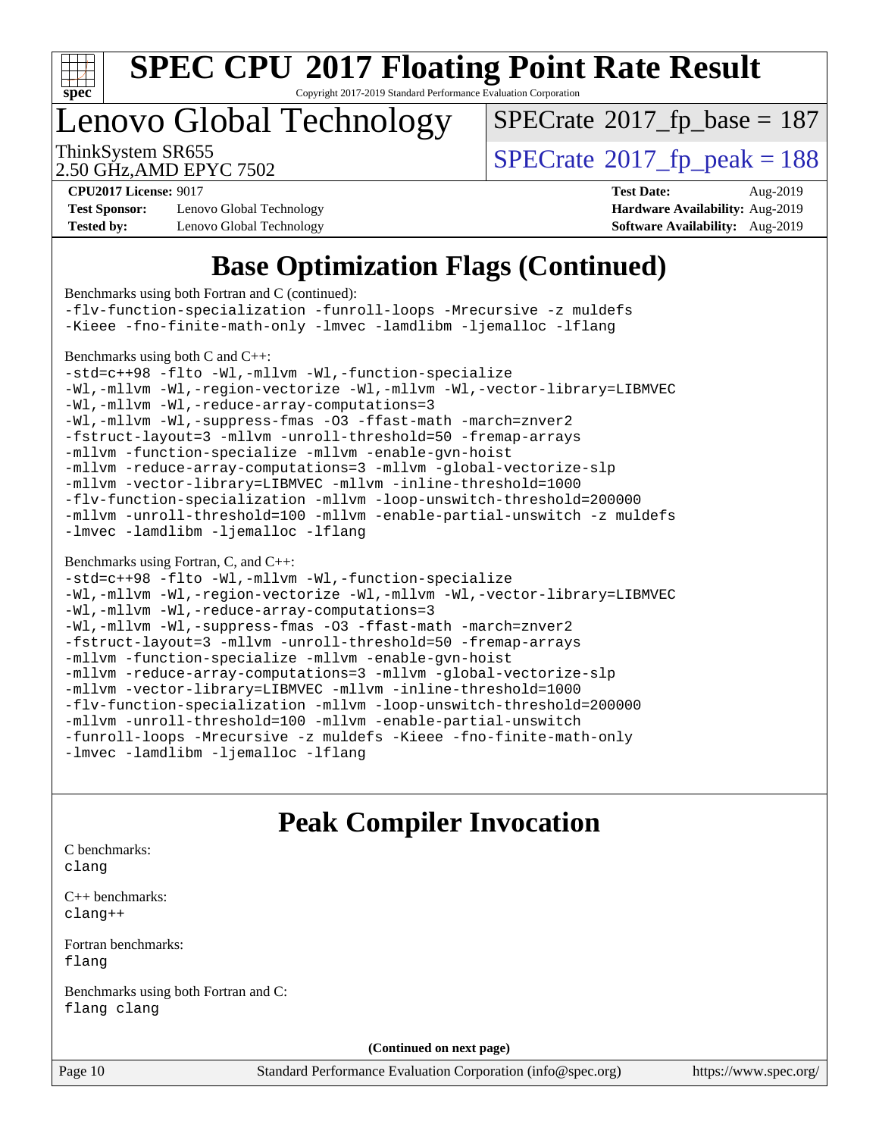

Copyright 2017-2019 Standard Performance Evaluation Corporation

# Lenovo Global Technology

 $SPECrate$ <sup>®</sup>[2017\\_fp\\_base =](http://www.spec.org/auto/cpu2017/Docs/result-fields.html#SPECrate2017fpbase) 187

2.50 GHz,AMD EPYC 7502

ThinkSystem SR655<br>2.50 GHz.AMD EPYC 7502 <br>[SPECrate](http://www.spec.org/auto/cpu2017/Docs/result-fields.html#SPECrate2017fppeak)®[2017\\_fp\\_peak = 1](http://www.spec.org/auto/cpu2017/Docs/result-fields.html#SPECrate2017fppeak)88

**[Test Sponsor:](http://www.spec.org/auto/cpu2017/Docs/result-fields.html#TestSponsor)** Lenovo Global Technology **[Hardware Availability:](http://www.spec.org/auto/cpu2017/Docs/result-fields.html#HardwareAvailability)** Aug-2019 **[Tested by:](http://www.spec.org/auto/cpu2017/Docs/result-fields.html#Testedby)** Lenovo Global Technology **[Software Availability:](http://www.spec.org/auto/cpu2017/Docs/result-fields.html#SoftwareAvailability)** Aug-2019

**[CPU2017 License:](http://www.spec.org/auto/cpu2017/Docs/result-fields.html#CPU2017License)** 9017 **[Test Date:](http://www.spec.org/auto/cpu2017/Docs/result-fields.html#TestDate)** Aug-2019

## **[Base Optimization Flags \(Continued\)](http://www.spec.org/auto/cpu2017/Docs/result-fields.html#BaseOptimizationFlags)**

| Benchmarks using both Fortran and C (continued):                                                                                                                                                                                                                                                                                                                                                                                                                                                                                                                                                                                                                                                                                                                                                       |
|--------------------------------------------------------------------------------------------------------------------------------------------------------------------------------------------------------------------------------------------------------------------------------------------------------------------------------------------------------------------------------------------------------------------------------------------------------------------------------------------------------------------------------------------------------------------------------------------------------------------------------------------------------------------------------------------------------------------------------------------------------------------------------------------------------|
| -flv-function-specialization -funroll-loops -Mrecursive -z muldefs                                                                                                                                                                                                                                                                                                                                                                                                                                                                                                                                                                                                                                                                                                                                     |
| -Kieee -fno-finite-math-only -lmvec -lamdlibm -ljemalloc -lflang                                                                                                                                                                                                                                                                                                                                                                                                                                                                                                                                                                                                                                                                                                                                       |
| Benchmarks using both C and C++:<br>-std=c++98 -flto -Wl,-mllvm -Wl,-function-specialize<br>-Wl,-mllvm -Wl,-region-vectorize -Wl,-mllvm -Wl,-vector-library=LIBMVEC<br>-Wl,-mllvm -Wl,-reduce-array-computations=3<br>-Wl,-mllvm -Wl,-suppress-fmas -03 -ffast-math -march=znver2<br>-fstruct-layout=3 -mllvm -unroll-threshold=50 -fremap-arrays<br>-mllvm -function-specialize -mllvm -enable-gvn-hoist<br>-mllvm -reduce-array-computations=3 -mllvm -global-vectorize-slp<br>-mllvm -vector-library=LIBMVEC -mllvm -inline-threshold=1000<br>-flv-function-specialization -mllvm -loop-unswitch-threshold=200000<br>-mllvm -unroll-threshold=100 -mllvm -enable-partial-unswitch -z muldefs<br>-lmvec -lamdlibm -ljemalloc -lflang                                                                 |
| Benchmarks using Fortran, C, and C++:<br>-std=c++98 -flto -Wl,-mllvm -Wl,-function-specialize<br>-Wl,-mllvm -Wl,-region-vectorize -Wl,-mllvm -Wl,-vector-library=LIBMVEC<br>-Wl,-mllvm -Wl,-reduce-array-computations=3<br>-Wl,-mllvm -Wl,-suppress-fmas -03 -ffast-math -march=znver2<br>-fstruct-layout=3 -mllvm -unroll-threshold=50 -fremap-arrays<br>-mllvm -function-specialize -mllvm -enable-gvn-hoist<br>-mllvm -reduce-array-computations=3 -mllvm -global-vectorize-slp<br>-mllvm -vector-library=LIBMVEC -mllvm -inline-threshold=1000<br>-flv-function-specialization -mllvm -loop-unswitch-threshold=200000<br>-mllvm -unroll-threshold=100 -mllvm -enable-partial-unswitch<br>-funroll-loops -Mrecursive -z muldefs -Kieee -fno-finite-math-only<br>-lmvec -lamdlibm -ljemalloc -lflang |
| <b>Peak Compiler Invocation</b>                                                                                                                                                                                                                                                                                                                                                                                                                                                                                                                                                                                                                                                                                                                                                                        |
| C benchmarks:<br>clang                                                                                                                                                                                                                                                                                                                                                                                                                                                                                                                                                                                                                                                                                                                                                                                 |
| $C_{++}$ benchmarks:<br>$clanq++$                                                                                                                                                                                                                                                                                                                                                                                                                                                                                                                                                                                                                                                                                                                                                                      |
| Fortran benchmarks:<br>flang                                                                                                                                                                                                                                                                                                                                                                                                                                                                                                                                                                                                                                                                                                                                                                           |
| Benchmarks using both Fortran and C:                                                                                                                                                                                                                                                                                                                                                                                                                                                                                                                                                                                                                                                                                                                                                                   |

[flang](http://www.spec.org/cpu2017/results/res2019q3/cpu2017-20190902-17392.flags.html#user_CC_FCpeak_flang) [clang](http://www.spec.org/cpu2017/results/res2019q3/cpu2017-20190902-17392.flags.html#user_CC_FCpeak_clang-c)

**(Continued on next page)**

Page 10 Standard Performance Evaluation Corporation [\(info@spec.org\)](mailto:info@spec.org) <https://www.spec.org/>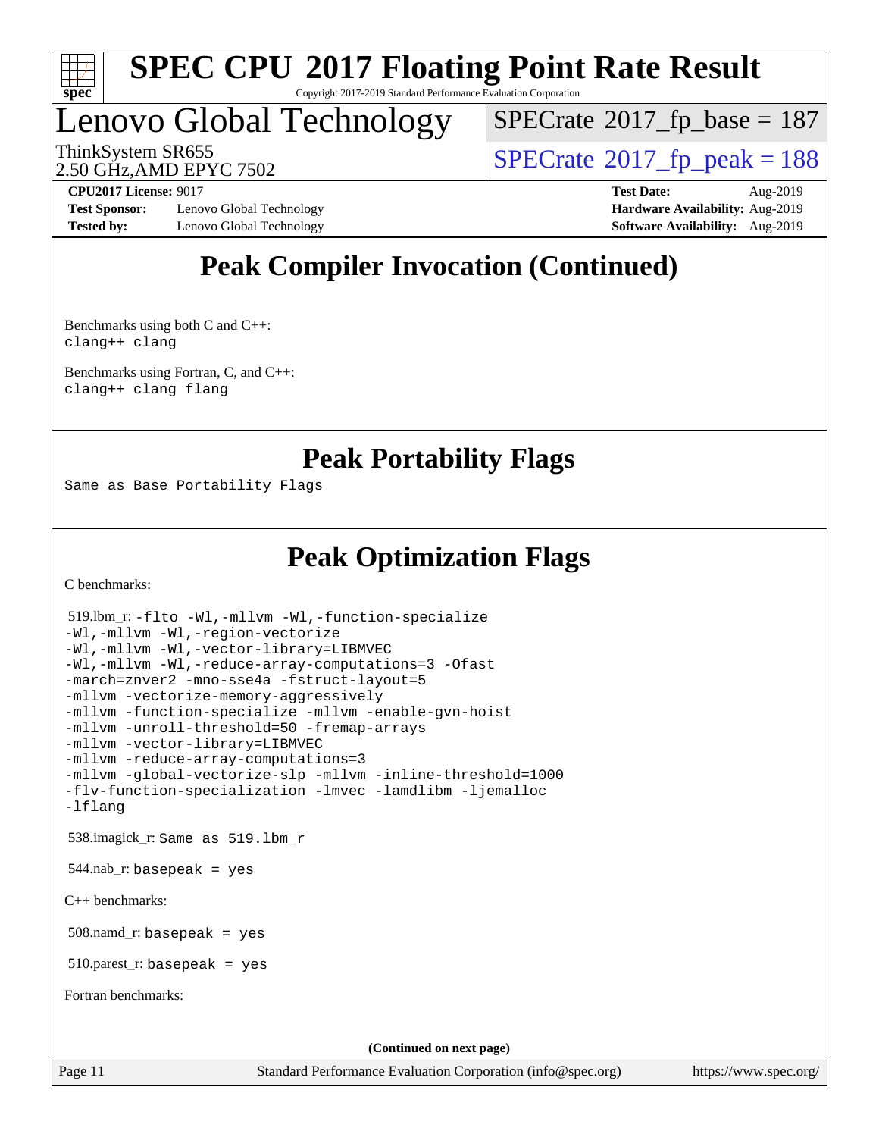

#### **[SPEC CPU](http://www.spec.org/auto/cpu2017/Docs/result-fields.html#SPECCPU2017FloatingPointRateResult)[2017 Floating Point Rate Result](http://www.spec.org/auto/cpu2017/Docs/result-fields.html#SPECCPU2017FloatingPointRateResult)** Copyright 2017-2019 Standard Performance Evaluation Corporation

# Lenovo Global Technology

 $SPECTate$ <sup>®</sup>[2017\\_fp\\_base =](http://www.spec.org/auto/cpu2017/Docs/result-fields.html#SPECrate2017fpbase) 187

2.50 GHz,AMD EPYC 7502

ThinkSystem SR655<br>2.50 GHz AMD FPYC 7502

**[Test Sponsor:](http://www.spec.org/auto/cpu2017/Docs/result-fields.html#TestSponsor)** Lenovo Global Technology **[Hardware Availability:](http://www.spec.org/auto/cpu2017/Docs/result-fields.html#HardwareAvailability)** Aug-2019 **[Tested by:](http://www.spec.org/auto/cpu2017/Docs/result-fields.html#Testedby)** Lenovo Global Technology **[Software Availability:](http://www.spec.org/auto/cpu2017/Docs/result-fields.html#SoftwareAvailability)** Aug-2019

**[CPU2017 License:](http://www.spec.org/auto/cpu2017/Docs/result-fields.html#CPU2017License)** 9017 **[Test Date:](http://www.spec.org/auto/cpu2017/Docs/result-fields.html#TestDate)** Aug-2019

## **[Peak Compiler Invocation \(Continued\)](http://www.spec.org/auto/cpu2017/Docs/result-fields.html#PeakCompilerInvocation)**

[Benchmarks using both C and C++](http://www.spec.org/auto/cpu2017/Docs/result-fields.html#BenchmarksusingbothCandCXX): [clang++](http://www.spec.org/cpu2017/results/res2019q3/cpu2017-20190902-17392.flags.html#user_CC_CXXpeak_clang-cpp) [clang](http://www.spec.org/cpu2017/results/res2019q3/cpu2017-20190902-17392.flags.html#user_CC_CXXpeak_clang-c)

[Benchmarks using Fortran, C, and C++:](http://www.spec.org/auto/cpu2017/Docs/result-fields.html#BenchmarksusingFortranCandCXX) [clang++](http://www.spec.org/cpu2017/results/res2019q3/cpu2017-20190902-17392.flags.html#user_CC_CXX_FCpeak_clang-cpp) [clang](http://www.spec.org/cpu2017/results/res2019q3/cpu2017-20190902-17392.flags.html#user_CC_CXX_FCpeak_clang-c) [flang](http://www.spec.org/cpu2017/results/res2019q3/cpu2017-20190902-17392.flags.html#user_CC_CXX_FCpeak_flang)

**[Peak Portability Flags](http://www.spec.org/auto/cpu2017/Docs/result-fields.html#PeakPortabilityFlags)**

Same as Base Portability Flags

## **[Peak Optimization Flags](http://www.spec.org/auto/cpu2017/Docs/result-fields.html#PeakOptimizationFlags)**

[C benchmarks](http://www.spec.org/auto/cpu2017/Docs/result-fields.html#Cbenchmarks):

```
(info@spec.org)https://www.spec.org/
  519.lbm_r: -flto -Wl,-mllvm -Wl,-function-specialize
-Wl,-mllvm -Wl,-region-vectorize
-Wl,-mllvm -Wl,-vector-library=LIBMVEC
-Wl,-mllvm -Wl,-reduce-array-computations=3 -Ofast
-march=znver2 -mno-sse4a -fstruct-layout=5
-mllvm -vectorize-memory-aggressively
-mllvm -function-specialize -mllvm -enable-gvn-hoist
-mllvm -unroll-threshold=50 -fremap-arrays
-mllvm -vector-library=LIBMVEC
-mllvm -reduce-array-computations=3
-mllvm -global-vectorize-slp -mllvm -inline-threshold=1000
-flv-function-specialization -lmvec -lamdlibm -ljemalloc
-lflang
  538.imagick_r: Same as 519.lbm_r
 544.nab_r: basepeak = yes
C++ benchmarks: 
  508.namd_r: basepeak = yes
  510.parest_r: basepeak = yes
Fortran benchmarks: 
                                    (Continued on next page)
```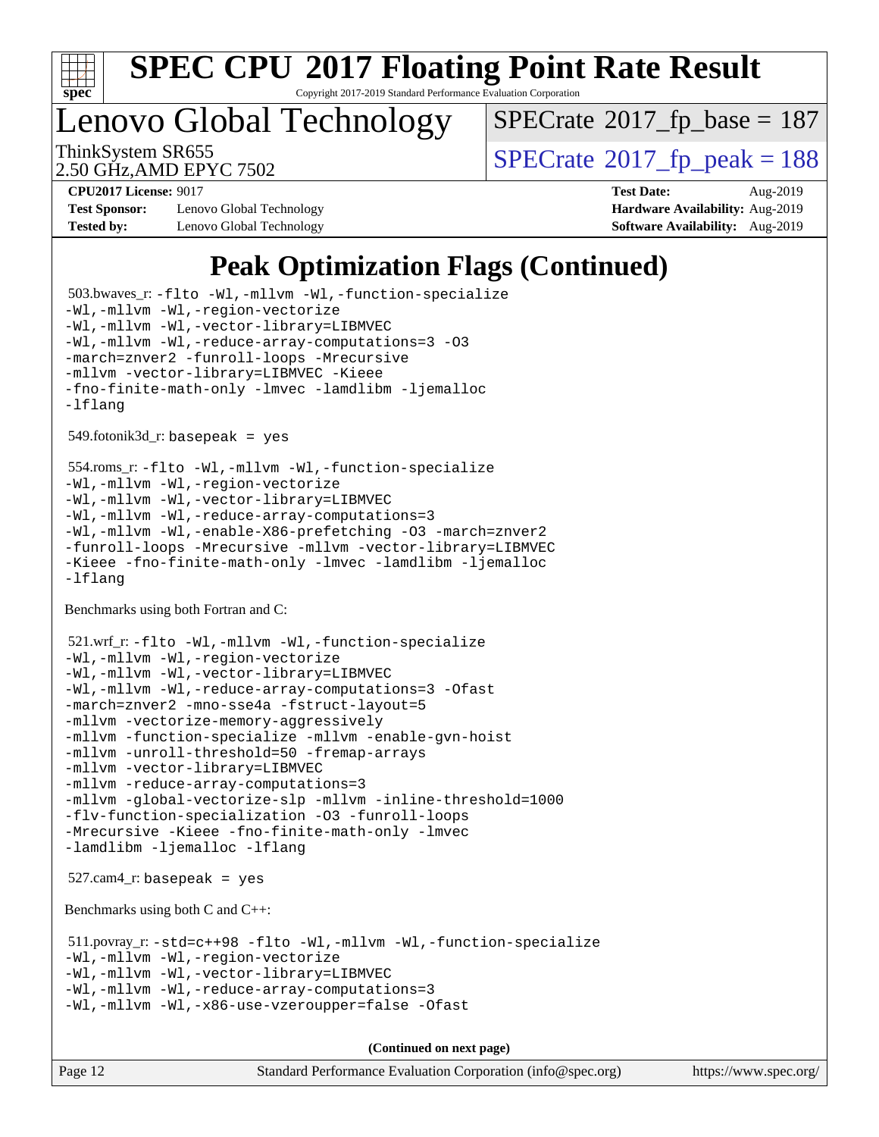

Copyright 2017-2019 Standard Performance Evaluation Corporation

Lenovo Global Technology

 $SPECTate$ <sup>®</sup>[2017\\_fp\\_base =](http://www.spec.org/auto/cpu2017/Docs/result-fields.html#SPECrate2017fpbase) 187

2.50 GHz,AMD EPYC 7502

ThinkSystem SR655<br>2.50 GHz AMD EPYC 7502

**[Test Sponsor:](http://www.spec.org/auto/cpu2017/Docs/result-fields.html#TestSponsor)** Lenovo Global Technology **[Hardware Availability:](http://www.spec.org/auto/cpu2017/Docs/result-fields.html#HardwareAvailability)** Aug-2019 **[Tested by:](http://www.spec.org/auto/cpu2017/Docs/result-fields.html#Testedby)** Lenovo Global Technology **[Software Availability:](http://www.spec.org/auto/cpu2017/Docs/result-fields.html#SoftwareAvailability)** Aug-2019

**[CPU2017 License:](http://www.spec.org/auto/cpu2017/Docs/result-fields.html#CPU2017License)** 9017 **[Test Date:](http://www.spec.org/auto/cpu2017/Docs/result-fields.html#TestDate)** Aug-2019

## **[Peak Optimization Flags \(Continued\)](http://www.spec.org/auto/cpu2017/Docs/result-fields.html#PeakOptimizationFlags)**

```
 503.bwaves_r: -flto -Wl,-mllvm -Wl,-function-specialize
-Wl,-mllvm -Wl,-region-vectorize
-Wl,-mllvm -Wl,-vector-library=LIBMVEC
-Wl,-mllvm -Wl,-reduce-array-computations=3 -O3
-march=znver2 -funroll-loops -Mrecursive
-mllvm -vector-library=LIBMVEC -Kieee
-fno-finite-math-only -lmvec -lamdlibm -ljemalloc
-lflang
 549.fotonik3d_r: basepeak = yes
 554.roms_r: -flto -Wl,-mllvm -Wl,-function-specialize
-Wl,-mllvm -Wl,-region-vectorize
-Wl,-mllvm -Wl,-vector-library=LIBMVEC
-Wl,-mllvm -Wl,-reduce-array-computations=3
-Wl,-mllvm -Wl,-enable-X86-prefetching -O3 -march=znver2
-funroll-loops -Mrecursive -mllvm -vector-library=LIBMVEC
-Kieee -fno-finite-math-only -lmvec -lamdlibm -ljemalloc
-lflang
Benchmarks using both Fortran and C: 
 521.wrf_r: -flto -Wl,-mllvm -Wl,-function-specialize
-Wl,-mllvm -Wl,-region-vectorize
-Wl,-mllvm -Wl,-vector-library=LIBMVEC
-Wl,-mllvm -Wl,-reduce-array-computations=3 -Ofast
-march=znver2 -mno-sse4a -fstruct-layout=5
-mllvm -vectorize-memory-aggressively
-mllvm -function-specialize -mllvm -enable-gvn-hoist
-mllvm -unroll-threshold=50 -fremap-arrays
-mllvm -vector-library=LIBMVEC
-mllvm -reduce-array-computations=3
-mllvm -global-vectorize-slp -mllvm -inline-threshold=1000
-flv-function-specialization -O3 -funroll-loops
-Mrecursive -Kieee -fno-finite-math-only -lmvec
-lamdlibm -ljemalloc -lflang
 527.cam4_r: basepeak = yes
Benchmarks using both C and C++: 
 511.povray_r: -std=c++98 -flto -Wl,-mllvm -Wl,-function-specialize
-Wl,-mllvm -Wl,-region-vectorize
-Wl,-mllvm -Wl,-vector-library=LIBMVEC
-Wl,-mllvm -Wl,-reduce-array-computations=3
-Wl,-mllvm -Wl,-x86-use-vzeroupper=false -Ofast
                                     (Continued on next page)
```